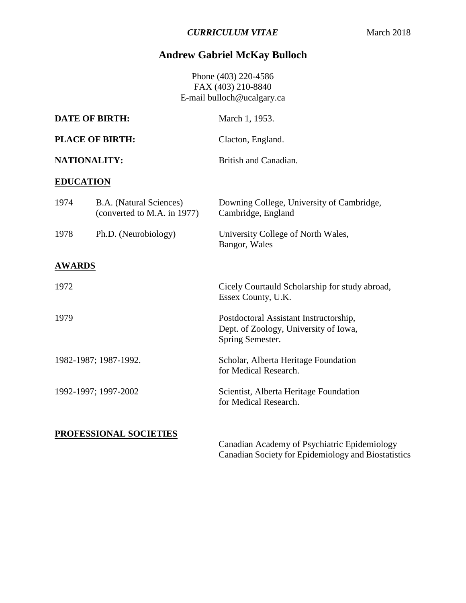# **Andrew Gabriel McKay Bulloch**

Phone (403) 220-4586 FAX (403) 210-8840 E-mail bulloch@ucalgary.ca

| <b>DATE OF BIRTH:</b>  |                                                        | March 1, 1953.                                                                                      |  |
|------------------------|--------------------------------------------------------|-----------------------------------------------------------------------------------------------------|--|
| <b>PLACE OF BIRTH:</b> |                                                        | Clacton, England.                                                                                   |  |
|                        | <b>NATIONALITY:</b>                                    | British and Canadian.                                                                               |  |
| <b>EDUCATION</b>       |                                                        |                                                                                                     |  |
| 1974                   | B.A. (Natural Sciences)<br>(converted to M.A. in 1977) | Downing College, University of Cambridge,<br>Cambridge, England                                     |  |
| 1978                   | Ph.D. (Neurobiology)                                   | University College of North Wales,<br>Bangor, Wales                                                 |  |
| <b>AWARDS</b>          |                                                        |                                                                                                     |  |
| 1972                   |                                                        | Cicely Courtauld Scholarship for study abroad,<br>Essex County, U.K.                                |  |
| 1979                   |                                                        | Postdoctoral Assistant Instructorship,<br>Dept. of Zoology, University of Iowa,<br>Spring Semester. |  |
| 1982-1987; 1987-1992.  |                                                        | Scholar, Alberta Heritage Foundation<br>for Medical Research.                                       |  |
| 1992-1997; 1997-2002   |                                                        | Scientist, Alberta Heritage Foundation<br>for Medical Research.                                     |  |
|                        | <b>PROFESSIONAL SOCIETIES</b>                          | Canadian Academy of Psychiatric Epidemiology<br>Canadian Society for Epidemiology and Biostatistics |  |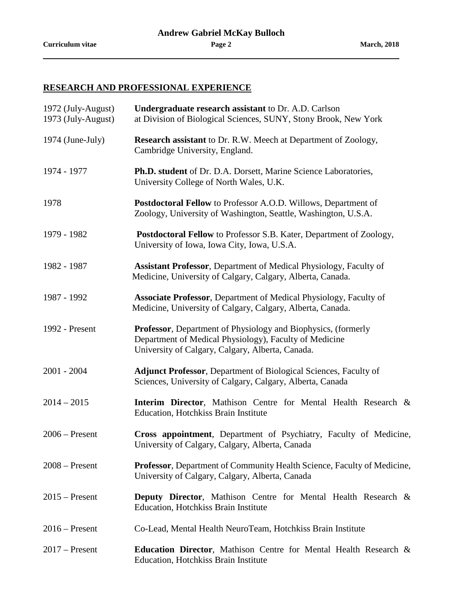## **RESEARCH AND PROFESSIONAL EXPERIENCE**

| 1972 (July-August)<br>1973 (July-August) | <b>Undergraduate research assistant to Dr. A.D. Carlson</b><br>at Division of Biological Sciences, SUNY, Stony Brook, New York                                                      |  |
|------------------------------------------|-------------------------------------------------------------------------------------------------------------------------------------------------------------------------------------|--|
| $1974$ (June-July)                       | <b>Research assistant</b> to Dr. R.W. Meech at Department of Zoology,<br>Cambridge University, England.                                                                             |  |
| 1974 - 1977                              | Ph.D. student of Dr. D.A. Dorsett, Marine Science Laboratories,<br>University College of North Wales, U.K.                                                                          |  |
| 1978                                     | Postdoctoral Fellow to Professor A.O.D. Willows, Department of<br>Zoology, University of Washington, Seattle, Washington, U.S.A.                                                    |  |
| 1979 - 1982                              | Postdoctoral Fellow to Professor S.B. Kater, Department of Zoology,<br>University of Iowa, Iowa City, Iowa, U.S.A.                                                                  |  |
| 1982 - 1987                              | Assistant Professor, Department of Medical Physiology, Faculty of<br>Medicine, University of Calgary, Calgary, Alberta, Canada.                                                     |  |
| 1987 - 1992                              | <b>Associate Professor</b> , Department of Medical Physiology, Faculty of<br>Medicine, University of Calgary, Calgary, Alberta, Canada.                                             |  |
| 1992 - Present                           | <b>Professor</b> , Department of Physiology and Biophysics, (formerly<br>Department of Medical Physiology), Faculty of Medicine<br>University of Calgary, Calgary, Alberta, Canada. |  |
| $2001 - 2004$                            | Adjunct Professor, Department of Biological Sciences, Faculty of<br>Sciences, University of Calgary, Calgary, Alberta, Canada                                                       |  |
| $2014 - 2015$                            | Interim Director, Mathison Centre for Mental Health Research &<br>Education, Hotchkiss Brain Institute                                                                              |  |
| $2006$ – Present                         | Cross appointment, Department of Psychiatry, Faculty of Medicine,<br>University of Calgary, Calgary, Alberta, Canada                                                                |  |
| $2008 -$ Present                         | <b>Professor</b> , Department of Community Health Science, Faculty of Medicine,<br>University of Calgary, Calgary, Alberta, Canada                                                  |  |
| $2015$ – Present                         | <b>Deputy Director,</b> Mathison Centre for Mental Health Research &<br>Education, Hotchkiss Brain Institute                                                                        |  |
| $2016$ – Present                         | Co-Lead, Mental Health NeuroTeam, Hotchkiss Brain Institute                                                                                                                         |  |
| $2017$ – Present                         | <b>Education Director, Mathison Centre for Mental Health Research &amp;</b><br>Education, Hotchkiss Brain Institute                                                                 |  |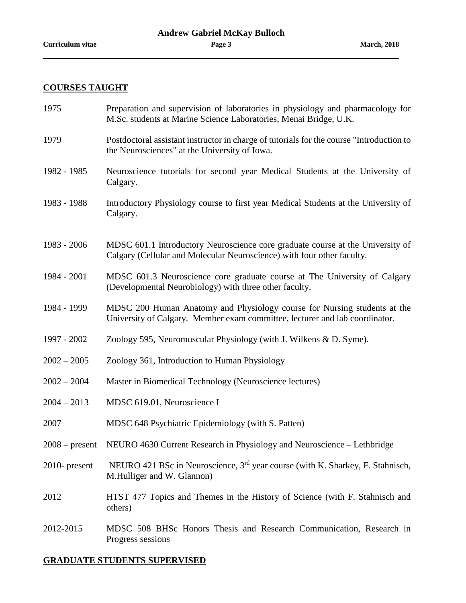## **COURSES TAUGHT**

- 1975 Preparation and supervision of laboratories in physiology and pharmacology for M.Sc. students at Marine Science Laboratories, Menai Bridge, U.K.
- 1979 Postdoctoral assistant instructor in charge of tutorials for the course "Introduction to the Neurosciences" at the University of Iowa.
- 1982 1985 Neuroscience tutorials for second year Medical Students at the University of Calgary.
- 1983 1988 Introductory Physiology course to first year Medical Students at the University of Calgary.
- 1983 2006 MDSC 601.1 Introductory Neuroscience core graduate course at the University of Calgary (Cellular and Molecular Neuroscience) with four other faculty.
- 1984 2001 MDSC 601.3 Neuroscience core graduate course at The University of Calgary (Developmental Neurobiology) with three other faculty.
- 1984 1999 MDSC 200 Human Anatomy and Physiology course for Nursing students at the University of Calgary. Member exam committee, lecturer and lab coordinator.
- 1997 2002 Zoology 595, Neuromuscular Physiology (with J. Wilkens & D. Syme).
- 2002 2005 Zoology 361, Introduction to Human Physiology
- 2002 2004 Master in Biomedical Technology (Neuroscience lectures)
- 2004 2013 MDSC 619.01, Neuroscience I
- 2007 MDSC 648 Psychiatric Epidemiology (with S. Patten)
- 2008 present NEURO 4630 Current Research in Physiology and Neuroscience Lethbridge
- 2010- present NEURO 421 BSc in Neuroscience, 3<sup>rd</sup> year course (with K. Sharkey, F. Stahnisch, M.Hulliger and W. Glannon)
- 2012 HTST 477 Topics and Themes in the History of Science (with F. Stahnisch and others)
- 2012-2015 MDSC 508 BHSc Honors Thesis and Research Communication, Research in Progress sessions

#### **GRADUATE STUDENTS SUPERVISED**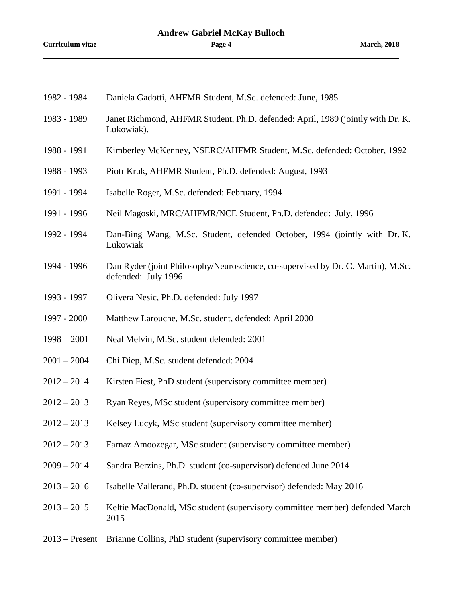| 1982 - 1984      | Daniela Gadotti, AHFMR Student, M.Sc. defended: June, 1985                                              |
|------------------|---------------------------------------------------------------------------------------------------------|
| 1983 - 1989      | Janet Richmond, AHFMR Student, Ph.D. defended: April, 1989 (jointly with Dr. K.<br>Lukowiak).           |
| 1988 - 1991      | Kimberley McKenney, NSERC/AHFMR Student, M.Sc. defended: October, 1992                                  |
| 1988 - 1993      | Piotr Kruk, AHFMR Student, Ph.D. defended: August, 1993                                                 |
| 1991 - 1994      | Isabelle Roger, M.Sc. defended: February, 1994                                                          |
| 1991 - 1996      | Neil Magoski, MRC/AHFMR/NCE Student, Ph.D. defended: July, 1996                                         |
| 1992 - 1994      | Dan-Bing Wang, M.Sc. Student, defended October, 1994 (jointly with Dr. K.<br>Lukowiak                   |
| 1994 - 1996      | Dan Ryder (joint Philosophy/Neuroscience, co-supervised by Dr. C. Martin), M.Sc.<br>defended: July 1996 |
| 1993 - 1997      | Olivera Nesic, Ph.D. defended: July 1997                                                                |
| 1997 - 2000      | Matthew Larouche, M.Sc. student, defended: April 2000                                                   |
| $1998 - 2001$    | Neal Melvin, M.Sc. student defended: 2001                                                               |
| $2001 - 2004$    | Chi Diep, M.Sc. student defended: 2004                                                                  |
| $2012 - 2014$    | Kirsten Fiest, PhD student (supervisory committee member)                                               |
| $2012 - 2013$    | Ryan Reyes, MSc student (supervisory committee member)                                                  |
| $2012 - 2013$    | Kelsey Lucyk, MSc student (supervisory committee member)                                                |
| $2012 - 2013$    | Farnaz Amoozegar, MSc student (supervisory committee member)                                            |
| $2009 - 2014$    | Sandra Berzins, Ph.D. student (co-supervisor) defended June 2014                                        |
| $2013 - 2016$    | Isabelle Vallerand, Ph.D. student (co-supervisor) defended: May 2016                                    |
| $2013 - 2015$    | Keltie MacDonald, MSc student (supervisory committee member) defended March<br>2015                     |
| $2013$ – Present | Brianne Collins, PhD student (supervisory committee member)                                             |
|                  |                                                                                                         |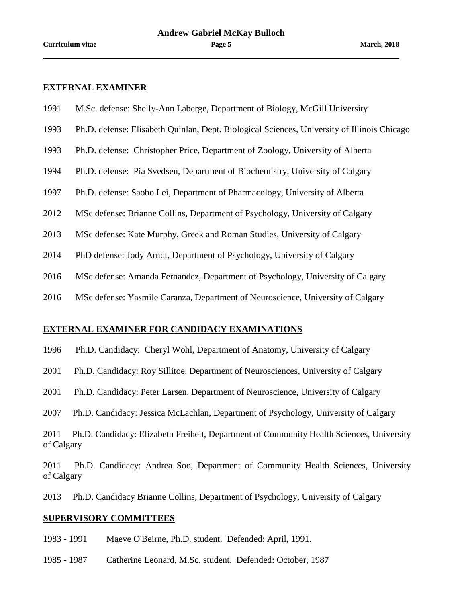#### **EXTERNAL EXAMINER**

- 1991 M.Sc. defense: Shelly-Ann Laberge, Department of Biology, McGill University
- 1993 Ph.D. defense: Elisabeth Quinlan, Dept. Biological Sciences, University of Illinois Chicago
- 1993 Ph.D. defense: Christopher Price, Department of Zoology, University of Alberta
- 1994 Ph.D. defense: Pia Svedsen, Department of Biochemistry, University of Calgary
- 1997 Ph.D. defense: Saobo Lei, Department of Pharmacology, University of Alberta
- 2012 MSc defense: Brianne Collins, Department of Psychology, University of Calgary
- 2013 MSc defense: Kate Murphy, Greek and Roman Studies, University of Calgary
- 2014 PhD defense: Jody Arndt, Department of Psychology, University of Calgary
- 2016 MSc defense: Amanda Fernandez, Department of Psychology, University of Calgary
- 2016 MSc defense: Yasmile Caranza, Department of Neuroscience, University of Calgary

#### **EXTERNAL EXAMINER FOR CANDIDACY EXAMINATIONS**

- 1996 Ph.D. Candidacy: Cheryl Wohl, Department of Anatomy, University of Calgary
- 2001 Ph.D. Candidacy: Roy Sillitoe, Department of Neurosciences, University of Calgary
- 2001 Ph.D. Candidacy: Peter Larsen, Department of Neuroscience, University of Calgary
- 2007 Ph.D. Candidacy: Jessica McLachlan, Department of Psychology, University of Calgary
- 2011 Ph.D. Candidacy: Elizabeth Freiheit, Department of Community Health Sciences, University of Calgary
- 2011 Ph.D. Candidacy: Andrea Soo, Department of Community Health Sciences, University of Calgary
- 2013 Ph.D. Candidacy Brianne Collins, Department of Psychology, University of Calgary

#### **SUPERVISORY COMMITTEES**

- 1983 1991 Maeve O'Beirne, Ph.D. student. Defended: April, 1991.
- 1985 1987 Catherine Leonard, M.Sc. student. Defended: October, 1987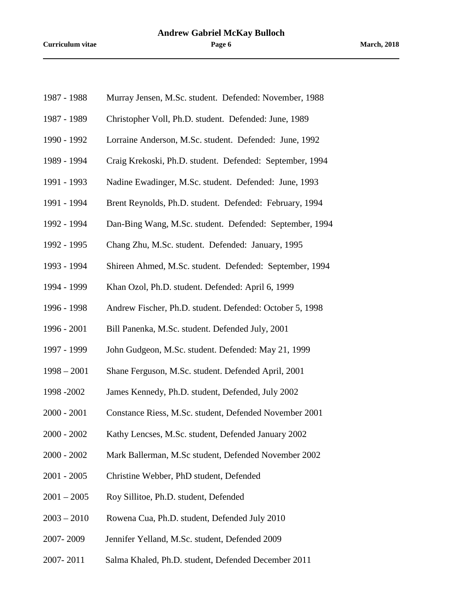- 1987 1988 Murray Jensen, M.Sc. student. Defended: November, 1988
- 1987 1989 Christopher Voll, Ph.D. student. Defended: June, 1989
- 1990 1992 Lorraine Anderson, M.Sc. student. Defended: June, 1992
- 1989 1994 Craig Krekoski, Ph.D. student. Defended: September, 1994
- 1991 1993 Nadine Ewadinger, M.Sc. student. Defended: June, 1993
- 1991 1994 Brent Reynolds, Ph.D. student. Defended: February, 1994
- 1992 1994 Dan-Bing Wang, M.Sc. student. Defended: September, 1994
- 1992 1995 Chang Zhu, M.Sc. student. Defended: January, 1995
- 1993 1994 Shireen Ahmed, M.Sc. student. Defended: September, 1994
- 1994 1999 Khan Ozol, Ph.D. student. Defended: April 6, 1999
- 1996 1998 Andrew Fischer, Ph.D. student. Defended: October 5, 1998
- 1996 2001 Bill Panenka, M.Sc. student. Defended July, 2001
- 1997 1999 John Gudgeon, M.Sc. student. Defended: May 21, 1999
- 1998 2001 Shane Ferguson, M.Sc. student. Defended April, 2001
- 1998 -2002 James Kennedy, Ph.D. student, Defended, July 2002
- 2000 2001 Constance Riess, M.Sc. student, Defended November 2001
- 2000 2002 Kathy Lencses, M.Sc. student, Defended January 2002
- 2000 2002 Mark Ballerman, M.Sc student, Defended November 2002
- 2001 2005 Christine Webber, PhD student, Defended
- 2001 2005 Roy Sillitoe, Ph.D. student, Defended
- 2003 2010 Rowena Cua, Ph.D. student, Defended July 2010
- 2007- 2009 Jennifer Yelland, M.Sc. student, Defended 2009
- 2007- 2011 Salma Khaled, Ph.D. student, Defended December 2011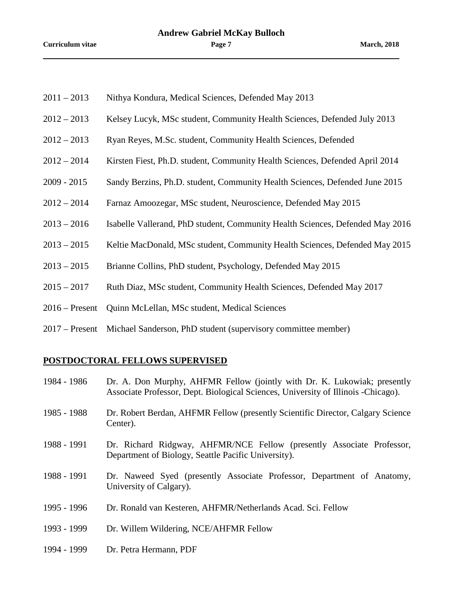- 2011 2013 Nithya Kondura, Medical Sciences, Defended May 2013
- 2012 2013 Kelsey Lucyk, MSc student, Community Health Sciences, Defended July 2013
- 2012 2013 Ryan Reyes, M.Sc. student, Community Health Sciences, Defended
- 2012 2014 Kirsten Fiest, Ph.D. student, Community Health Sciences, Defended April 2014
- 2009 2015 Sandy Berzins, Ph.D. student, Community Health Sciences, Defended June 2015
- 2012 2014 Farnaz Amoozegar, MSc student, Neuroscience, Defended May 2015
- 2013 2016 Isabelle Vallerand, PhD student, Community Health Sciences, Defended May 2016
- 2013 2015 Keltie MacDonald, MSc student, Community Health Sciences, Defended May 2015
- 2013 2015 Brianne Collins, PhD student, Psychology, Defended May 2015
- 2015 2017 Ruth Diaz, MSc student, Community Health Sciences, Defended May 2017
- 2016 Present Quinn McLellan, MSc student, Medical Sciences
- 2017 Present Michael Sanderson, PhD student (supervisory committee member)

## **POSTDOCTORAL FELLOWS SUPERVISED**

1984 - 1986 Dr. A. Don Murphy, AHFMR Fellow (jointly with Dr. K. Lukowiak; presently Associate Professor, Dept. Biological Sciences, University of Illinois -Chicago). 1985 - 1988 Dr. Robert Berdan, AHFMR Fellow (presently Scientific Director, Calgary Science Center). 1988 - 1991 Dr. Richard Ridgway, AHFMR/NCE Fellow (presently Associate Professor, Department of Biology, Seattle Pacific University). 1988 - 1991 Dr. Naweed Syed (presently Associate Professor, Department of Anatomy, University of Calgary). 1995 - 1996 Dr. Ronald van Kesteren, AHFMR/Netherlands Acad. Sci. Fellow 1993 - 1999 Dr. Willem Wildering, NCE/AHFMR Fellow 1994 - 1999 Dr. Petra Hermann, PDF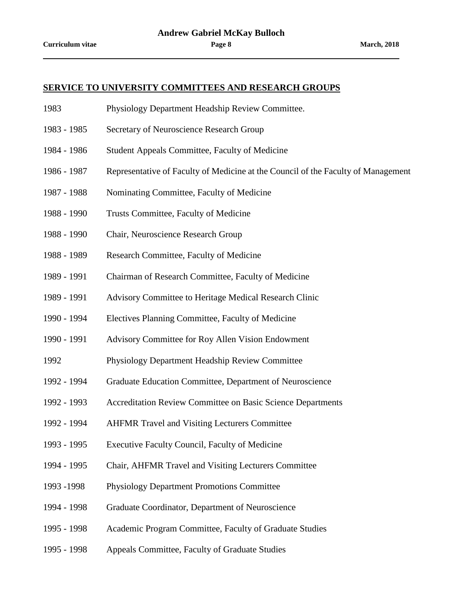#### **SERVICE TO UNIVERSITY COMMITTEES AND RESEARCH GROUPS**

- 1983 Physiology Department Headship Review Committee.
- 1983 1985 Secretary of Neuroscience Research Group
- 1984 1986 Student Appeals Committee, Faculty of Medicine
- 1986 1987 Representative of Faculty of Medicine at the Council of the Faculty of Management
- 1987 1988 Nominating Committee, Faculty of Medicine
- 1988 1990 Trusts Committee, Faculty of Medicine
- 1988 1990 Chair, Neuroscience Research Group
- 1988 1989 Research Committee, Faculty of Medicine
- 1989 1991 Chairman of Research Committee, Faculty of Medicine
- 1989 1991 Advisory Committee to Heritage Medical Research Clinic
- 1990 1994 Electives Planning Committee, Faculty of Medicine
- 1990 1991 Advisory Committee for Roy Allen Vision Endowment
- 1992 Physiology Department Headship Review Committee
- 1992 1994 Graduate Education Committee, Department of Neuroscience
- 1992 1993 Accreditation Review Committee on Basic Science Departments
- 1992 1994 AHFMR Travel and Visiting Lecturers Committee
- 1993 1995 Executive Faculty Council, Faculty of Medicine
- 1994 1995 Chair, AHFMR Travel and Visiting Lecturers Committee
- 1993 -1998 Physiology Department Promotions Committee
- 1994 1998 Graduate Coordinator, Department of Neuroscience
- 1995 1998 Academic Program Committee, Faculty of Graduate Studies
- 1995 1998 Appeals Committee, Faculty of Graduate Studies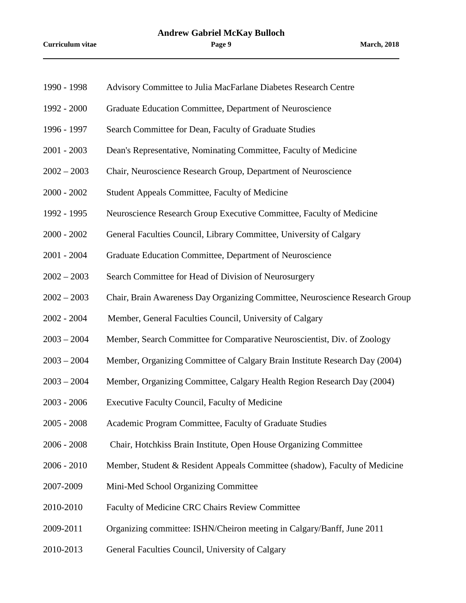- 1990 1998 Advisory Committee to Julia MacFarlane Diabetes Research Centre
- 1992 2000 Graduate Education Committee, Department of Neuroscience
- 1996 1997 Search Committee for Dean, Faculty of Graduate Studies
- 2001 2003 Dean's Representative, Nominating Committee, Faculty of Medicine
- 2002 2003 Chair, Neuroscience Research Group, Department of Neuroscience
- 2000 2002 Student Appeals Committee, Faculty of Medicine
- 1992 1995 Neuroscience Research Group Executive Committee, Faculty of Medicine
- 2000 2002 General Faculties Council, Library Committee, University of Calgary
- 2001 2004 Graduate Education Committee, Department of Neuroscience
- 2002 2003 Search Committee for Head of Division of Neurosurgery
- 2002 2003 Chair, Brain Awareness Day Organizing Committee, Neuroscience Research Group
- 2002 2004 Member, General Faculties Council, University of Calgary
- 2003 2004 Member, Search Committee for Comparative Neuroscientist, Div. of Zoology
- 2003 2004 Member, Organizing Committee of Calgary Brain Institute Research Day (2004)
- 2003 2004 Member, Organizing Committee, Calgary Health Region Research Day (2004)
- 2003 2006 Executive Faculty Council, Faculty of Medicine
- 2005 2008 Academic Program Committee, Faculty of Graduate Studies
- 2006 2008 Chair, Hotchkiss Brain Institute, Open House Organizing Committee
- 2006 2010 Member, Student & Resident Appeals Committee (shadow), Faculty of Medicine
- 2007-2009 Mini-Med School Organizing Committee
- 2010-2010 Faculty of Medicine CRC Chairs Review Committee
- 2009-2011 Organizing committee: ISHN/Cheiron meeting in Calgary/Banff, June 2011
- 2010-2013 General Faculties Council, University of Calgary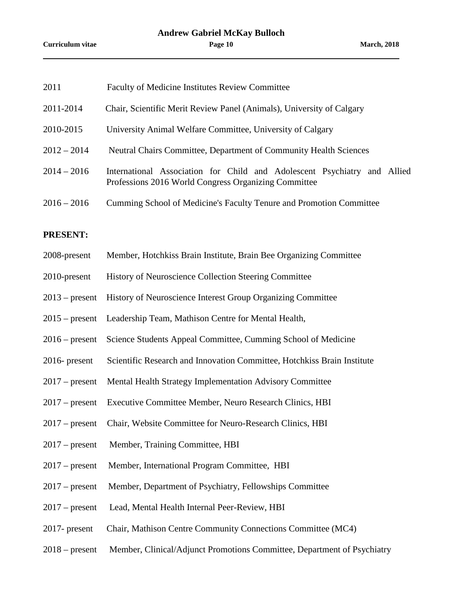| 2011             | Faculty of Medicine Institutes Review Committee                                                                                  |
|------------------|----------------------------------------------------------------------------------------------------------------------------------|
| 2011-2014        | Chair, Scientific Merit Review Panel (Animals), University of Calgary                                                            |
| 2010-2015        | University Animal Welfare Committee, University of Calgary                                                                       |
| $2012 - 2014$    | Neutral Chairs Committee, Department of Community Health Sciences                                                                |
| $2014 - 2016$    | International Association for Child and Adolescent Psychiatry and Allied<br>Professions 2016 World Congress Organizing Committee |
| $2016 - 2016$    | Cumming School of Medicine's Faculty Tenure and Promotion Committee                                                              |
| <b>PRESENT:</b>  |                                                                                                                                  |
| 2008-present     | Member, Hotchkiss Brain Institute, Brain Bee Organizing Committee                                                                |
| 2010-present     | History of Neuroscience Collection Steering Committee                                                                            |
| $2013$ – present | History of Neuroscience Interest Group Organizing Committee                                                                      |
| $2015$ – present | Leadership Team, Mathison Centre for Mental Health,                                                                              |
| $2016$ – present | Science Students Appeal Committee, Cumming School of Medicine                                                                    |
| $2016$ - present | Scientific Research and Innovation Committee, Hotchkiss Brain Institute                                                          |
| $2017$ – present | Mental Health Strategy Implementation Advisory Committee                                                                         |
| $2017$ – present | Executive Committee Member, Neuro Research Clinics, HBI                                                                          |
| $2017$ – present | Chair, Website Committee for Neuro-Research Clinics, HBI                                                                         |
| $2017$ – present | Member, Training Committee, HBI                                                                                                  |
| $2017$ – present | Member, International Program Committee, HBI                                                                                     |
| $2017$ – present | Member, Department of Psychiatry, Fellowships Committee                                                                          |
| $2017$ – present | Lead, Mental Health Internal Peer-Review, HBI                                                                                    |
| $2017$ - present | Chair, Mathison Centre Community Connections Committee (MC4)                                                                     |
| $2018$ – present | Member, Clinical/Adjunct Promotions Committee, Department of Psychiatry                                                          |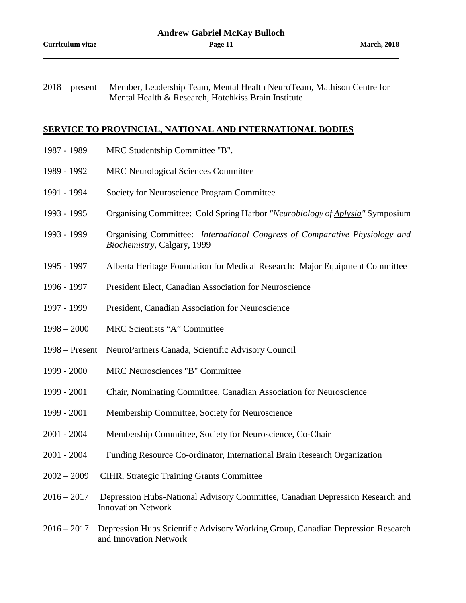2018 – present Member, Leadership Team, Mental Health NeuroTeam, Mathison Centre for Mental Health & Research, Hotchkiss Brain Institute

#### **SERVICE TO PROVINCIAL, NATIONAL AND INTERNATIONAL BODIES**

- 1987 1989 MRC Studentship Committee "B".
- 1989 1992 MRC Neurological Sciences Committee
- 1991 1994 Society for Neuroscience Program Committee
- 1993 1995 Organising Committee: Cold Spring Harbor *"Neurobiology of Aplysia"* Symposium
- 1993 1999 Organising Committee: *International Congress of Comparative Physiology and Biochemistry,* Calgary, 1999
- 1995 1997 Alberta Heritage Foundation for Medical Research: Major Equipment Committee
- 1996 1997 President Elect, Canadian Association for Neuroscience
- 1997 1999 President, Canadian Association for Neuroscience
- 1998 2000 MRC Scientists "A" Committee
- 1998 Present NeuroPartners Canada, Scientific Advisory Council
- 1999 2000 MRC Neurosciences "B" Committee
- 1999 2001 Chair, Nominating Committee, Canadian Association for Neuroscience
- 1999 2001 Membership Committee, Society for Neuroscience
- 2001 2004 Membership Committee, Society for Neuroscience, Co-Chair
- 2001 2004 Funding Resource Co-ordinator, International Brain Research Organization
- 2002 2009 CIHR, Strategic Training Grants Committee
- 2016 2017 Depression Hubs-National Advisory Committee, Canadian Depression Research and Innovation Network
- 2016 2017 Depression Hubs Scientific Advisory Working Group, Canadian Depression Research and Innovation Network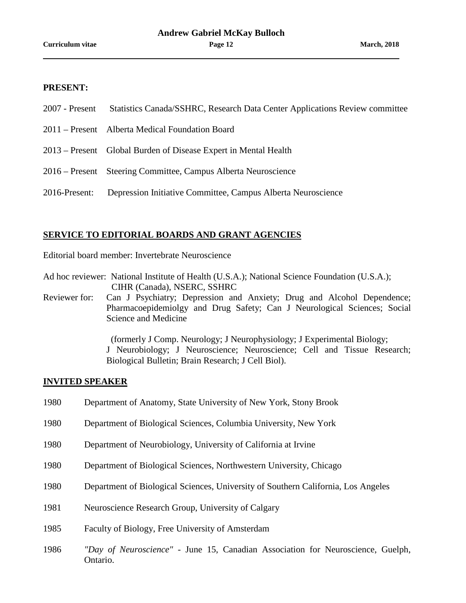## **PRESENT:**

- 2007 Present Statistics Canada/SSHRC, Research Data Center Applications Review committee
- 2011 Present Alberta Medical Foundation Board
- 2013 Present Global Burden of Disease Expert in Mental Health
- 2016 Present Steering Committee, Campus Alberta Neuroscience
- 2016-Present: Depression Initiative Committee, Campus Alberta Neuroscience

#### **SERVICE TO EDITORIAL BOARDS AND GRANT AGENCIES**

Editorial board member: Invertebrate Neuroscience

Ad hoc reviewer: National Institute of Health (U.S.A.); National Science Foundation (U.S.A.); CIHR (Canada), NSERC, SSHRC

Reviewer for: Can J Psychiatry; Depression and Anxiety; Drug and Alcohol Dependence; Pharmacoepidemiolgy and Drug Safety; Can J Neurological Sciences; Social Science and Medicine

> (formerly J Comp. Neurology; J Neurophysiology; J Experimental Biology; J Neurobiology; J Neuroscience; Neuroscience; Cell and Tissue Research; Biological Bulletin; Brain Research; J Cell Biol).

#### **INVITED SPEAKER**

- 1980 Department of Anatomy, State University of New York, Stony Brook
- 1980 Department of Biological Sciences, Columbia University, New York
- 1980 Department of Neurobiology, University of California at Irvine
- 1980 Department of Biological Sciences, Northwestern University, Chicago
- 1980 Department of Biological Sciences, University of Southern California, Los Angeles
- 1981 Neuroscience Research Group, University of Calgary
- 1985 Faculty of Biology, Free University of Amsterdam
- 1986 *"Day of Neuroscience"* June 15, Canadian Association for Neuroscience, Guelph, Ontario.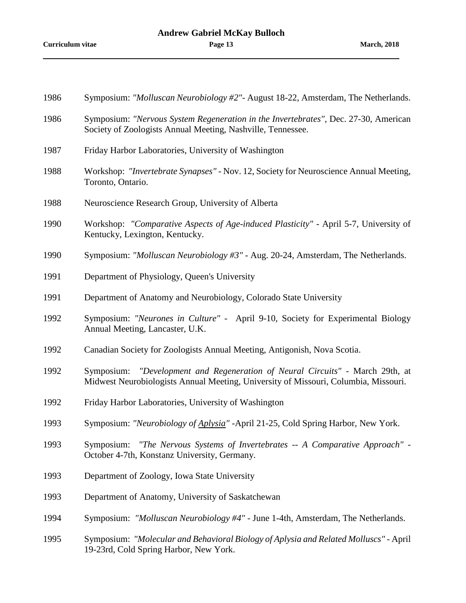| 1986 | Symposium: "Molluscan Neurobiology #2"- August 18-22, Amsterdam, The Netherlands.                                                                                       |
|------|-------------------------------------------------------------------------------------------------------------------------------------------------------------------------|
| 1986 | Symposium: "Nervous System Regeneration in the Invertebrates", Dec. 27-30, American<br>Society of Zoologists Annual Meeting, Nashville, Tennessee.                      |
| 1987 | Friday Harbor Laboratories, University of Washington                                                                                                                    |
| 1988 | Workshop: "Invertebrate Synapses" - Nov. 12, Society for Neuroscience Annual Meeting,<br>Toronto, Ontario.                                                              |
| 1988 | Neuroscience Research Group, University of Alberta                                                                                                                      |
| 1990 | Workshop: "Comparative Aspects of Age-induced Plasticity" - April 5-7, University of<br>Kentucky, Lexington, Kentucky.                                                  |
| 1990 | Symposium: "Molluscan Neurobiology #3" - Aug. 20-24, Amsterdam, The Netherlands.                                                                                        |
| 1991 | Department of Physiology, Queen's University                                                                                                                            |
| 1991 | Department of Anatomy and Neurobiology, Colorado State University                                                                                                       |
| 1992 | Symposium: "Neurones in Culture" - April 9-10, Society for Experimental Biology<br>Annual Meeting, Lancaster, U.K.                                                      |
| 1992 | Canadian Society for Zoologists Annual Meeting, Antigonish, Nova Scotia.                                                                                                |
| 1992 | "Development and Regeneration of Neural Circuits" - March 29th, at<br>Symposium:<br>Midwest Neurobiologists Annual Meeting, University of Missouri, Columbia, Missouri. |
| 1992 | Friday Harbor Laboratories, University of Washington                                                                                                                    |
| 1993 | Symposium: "Neurobiology of Aplysia" - April 21-25, Cold Spring Harbor, New York.                                                                                       |
| 1993 | Symposium: "The Nervous Systems of Invertebrates -- A Comparative Approach" -<br>October 4-7th, Konstanz University, Germany.                                           |
| 1993 | Department of Zoology, Iowa State University                                                                                                                            |
| 1993 | Department of Anatomy, University of Saskatchewan                                                                                                                       |
| 1994 | Symposium: "Molluscan Neurobiology #4" - June 1-4th, Amsterdam, The Netherlands.                                                                                        |
| 1995 | Symposium: "Molecular and Behavioral Biology of Aplysia and Related Molluscs" - April<br>19-23rd, Cold Spring Harbor, New York.                                         |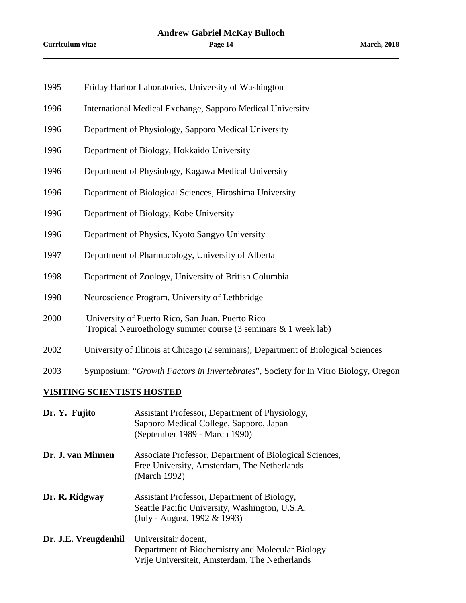- 1995 Friday Harbor Laboratories, University of Washington
- 1996 International Medical Exchange, Sapporo Medical University
- 1996 Department of Physiology, Sapporo Medical University
- 1996 Department of Biology, Hokkaido University
- 1996 Department of Physiology, Kagawa Medical University
- 1996 Department of Biological Sciences, Hiroshima University
- 1996 Department of Biology, Kobe University
- 1996 Department of Physics, Kyoto Sangyo University
- 1997 Department of Pharmacology, University of Alberta
- 1998 Department of Zoology, University of British Columbia
- 1998 Neuroscience Program, University of Lethbridge
- 2000 University of Puerto Rico, San Juan, Puerto Rico Tropical Neuroethology summer course (3 seminars & 1 week lab)
- 2002 University of Illinois at Chicago (2 seminars), Department of Biological Sciences
- 2003 Symposium: "*Growth Factors in Invertebrates*", Society for In Vitro Biology, Oregon

#### **VISITING SCIENTISTS HOSTED**

| Dr. Y. Fujito        | Assistant Professor, Department of Physiology,<br>Sapporo Medical College, Sapporo, Japan<br>(September 1989 - March 1990)    |
|----------------------|-------------------------------------------------------------------------------------------------------------------------------|
| Dr. J. van Minnen    | Associate Professor, Department of Biological Sciences,<br>Free University, Amsterdam, The Netherlands<br>(March 1992)        |
| Dr. R. Ridgway       | Assistant Professor, Department of Biology,<br>Seattle Pacific University, Washington, U.S.A.<br>(July - August, 1992 & 1993) |
| Dr. J.E. Vreugdenhil | Universitair docent,<br>Department of Biochemistry and Molecular Biology<br>Vrije Universiteit, Amsterdam, The Netherlands    |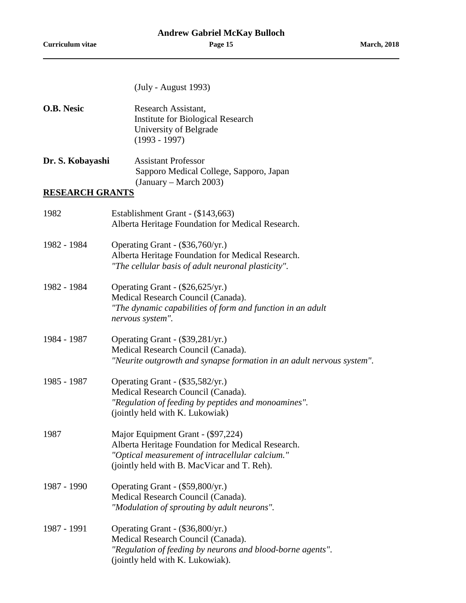|  | (July - August 1993) |  |
|--|----------------------|--|
|--|----------------------|--|

| O.B. Nesic             | Research Assistant,<br><b>Institute for Biological Research</b><br>University of Belgrade<br>$(1993 - 1997)$                                                                              |
|------------------------|-------------------------------------------------------------------------------------------------------------------------------------------------------------------------------------------|
| Dr. S. Kobayashi       | <b>Assistant Professor</b><br>Sapporo Medical College, Sapporo, Japan<br>$(January - March 2003)$                                                                                         |
| <b>RESEARCH GRANTS</b> |                                                                                                                                                                                           |
| 1982                   | Establishment Grant - (\$143,663)<br>Alberta Heritage Foundation for Medical Research.                                                                                                    |
| 1982 - 1984            | Operating Grant - (\$36,760/yr.)<br>Alberta Heritage Foundation for Medical Research.<br>"The cellular basis of adult neuronal plasticity".                                               |
| 1982 - 1984            | Operating Grant - (\$26,625/yr.)<br>Medical Research Council (Canada).<br>"The dynamic capabilities of form and function in an adult<br>nervous system".                                  |
| 1984 - 1987            | Operating Grant - (\$39,281/yr.)<br>Medical Research Council (Canada).<br>"Neurite outgrowth and synapse formation in an adult nervous system".                                           |
| 1985 - 1987            | Operating Grant - (\$35,582/yr.)<br>Medical Research Council (Canada).<br>"Regulation of feeding by peptides and monoamines".<br>(jointly held with K. Lukowiak)                          |
| 1987                   | Major Equipment Grant - (\$97,224)<br>Alberta Heritage Foundation for Medical Research.<br>"Optical measurement of intracellular calcium."<br>(jointly held with B. MacVicar and T. Reh). |
| 1987 - 1990            | Operating Grant - (\$59,800/yr.)<br>Medical Research Council (Canada).<br>"Modulation of sprouting by adult neurons".                                                                     |
| 1987 - 1991            | Operating Grant - (\$36,800/yr.)<br>Medical Research Council (Canada).<br>"Regulation of feeding by neurons and blood-borne agents".<br>(jointly held with K. Lukowiak).                  |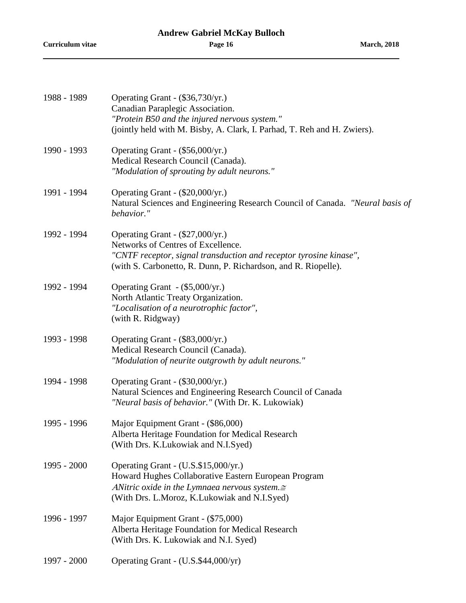| 1988 - 1989 | Operating Grant - (\$36,730/yr.)<br>Canadian Paraplegic Association.<br>"Protein B50 and the injured nervous system."<br>(jointly held with M. Bisby, A. Clark, I. Parhad, T. Reh and H. Zwiers).              |
|-------------|----------------------------------------------------------------------------------------------------------------------------------------------------------------------------------------------------------------|
| 1990 - 1993 | Operating Grant - (\$56,000/yr.)<br>Medical Research Council (Canada).<br>"Modulation of sprouting by adult neurons."                                                                                          |
| 1991 - 1994 | Operating Grant - (\$20,000/yr.)<br>Natural Sciences and Engineering Research Council of Canada. "Neural basis of<br>behavior."                                                                                |
| 1992 - 1994 | Operating Grant - (\$27,000/yr.)<br>Networks of Centres of Excellence.<br>"CNTF receptor, signal transduction and receptor tyrosine kinase",<br>(with S. Carbonetto, R. Dunn, P. Richardson, and R. Riopelle). |
| 1992 - 1994 | Operating Grant - (\$5,000/yr.)<br>North Atlantic Treaty Organization.<br>"Localisation of a neurotrophic factor",<br>(with R. Ridgway)                                                                        |
| 1993 - 1998 | Operating Grant - (\$83,000/yr.)<br>Medical Research Council (Canada).<br>"Modulation of neurite outgrowth by adult neurons."                                                                                  |
| 1994 - 1998 | Operating Grant - (\$30,000/yr.)<br>Natural Sciences and Engineering Research Council of Canada<br>"Neural basis of behavior." (With Dr. K. Lukowiak)                                                          |
| 1995 - 1996 | Major Equipment Grant - (\$86,000)<br>Alberta Heritage Foundation for Medical Research<br>(With Drs. K.Lukowiak and N.I.Syed)                                                                                  |
| 1995 - 2000 | Operating Grant - (U.S.\$15,000/yr.)<br>Howard Hughes Collaborative Eastern European Program<br>ANitric oxide in the Lymnaea nervous system. $\cong$<br>(With Drs. L.Moroz, K.Lukowiak and N.I.Syed)           |
| 1996 - 1997 | Major Equipment Grant - (\$75,000)<br>Alberta Heritage Foundation for Medical Research<br>(With Drs. K. Lukowiak and N.I. Syed)                                                                                |
| 1997 - 2000 | Operating Grant - (U.S.\$44,000/yr)                                                                                                                                                                            |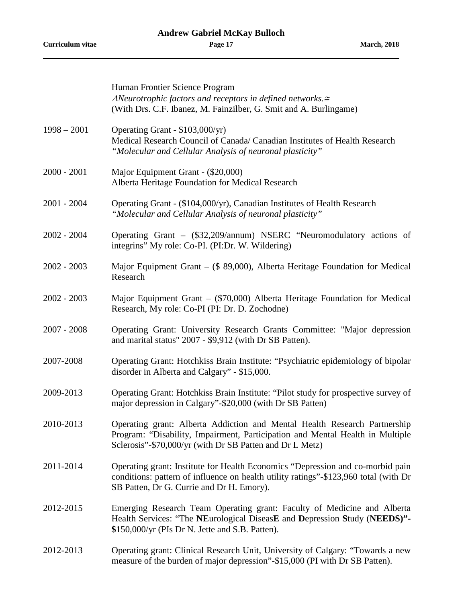**Curriculum vitae Page 17 March, 2018**

|               | Human Frontier Science Program<br>ANeurotrophic factors and receptors in defined networks. $\cong$<br>(With Drs. C.F. Ibanez, M. Fainzilber, G. Smit and A. Burlingame)                                                |
|---------------|------------------------------------------------------------------------------------------------------------------------------------------------------------------------------------------------------------------------|
| $1998 - 2001$ | Operating Grant - \$103,000/yr)<br>Medical Research Council of Canada/ Canadian Institutes of Health Research<br>"Molecular and Cellular Analysis of neuronal plasticity"                                              |
| $2000 - 2001$ | Major Equipment Grant - (\$20,000)<br>Alberta Heritage Foundation for Medical Research                                                                                                                                 |
| $2001 - 2004$ | Operating Grant - (\$104,000/yr), Canadian Institutes of Health Research<br>"Molecular and Cellular Analysis of neuronal plasticity"                                                                                   |
| $2002 - 2004$ | Operating Grant – (\$32,209/annum) NSERC "Neuromodulatory actions of<br>integrins" My role: Co-PI. (PI:Dr. W. Wildering)                                                                                               |
| $2002 - 2003$ | Major Equipment Grant - (\$ 89,000), Alberta Heritage Foundation for Medical<br>Research                                                                                                                               |
| $2002 - 2003$ | Major Equipment Grant – (\$70,000) Alberta Heritage Foundation for Medical<br>Research, My role: Co-PI (PI: Dr. D. Zochodne)                                                                                           |
| $2007 - 2008$ | Operating Grant: University Research Grants Committee: "Major depression<br>and marital status" 2007 - \$9,912 (with Dr SB Patten).                                                                                    |
| 2007-2008     | Operating Grant: Hotchkiss Brain Institute: "Psychiatric epidemiology of bipolar<br>disorder in Alberta and Calgary" - \$15,000.                                                                                       |
| 2009-2013     | Operating Grant: Hotchkiss Brain Institute: "Pilot study for prospective survey of<br>major depression in Calgary"-\$20,000 (with Dr SB Patten)                                                                        |
| 2010-2013     | Operating grant: Alberta Addiction and Mental Health Research Partnership<br>Program: "Disability, Impairment, Participation and Mental Health in Multiple<br>Sclerosis"-\$70,000/yr (with Dr SB Patten and Dr L Metz) |
| 2011-2014     | Operating grant: Institute for Health Economics "Depression and co-morbid pain<br>conditions: pattern of influence on health utility ratings"-\$123,960 total (with Dr<br>SB Patten, Dr G. Currie and Dr H. Emory).    |
| 2012-2015     | Emerging Research Team Operating grant: Faculty of Medicine and Alberta<br>Health Services: "The NEurological DiseasE and Depression Study (NEEDS)"-<br>\$150,000/yr (PIs Dr N. Jette and S.B. Patten).                |
| 2012-2013     | Operating grant: Clinical Research Unit, University of Calgary: "Towards a new<br>measure of the burden of major depression"-\$15,000 (PI with Dr SB Patten).                                                          |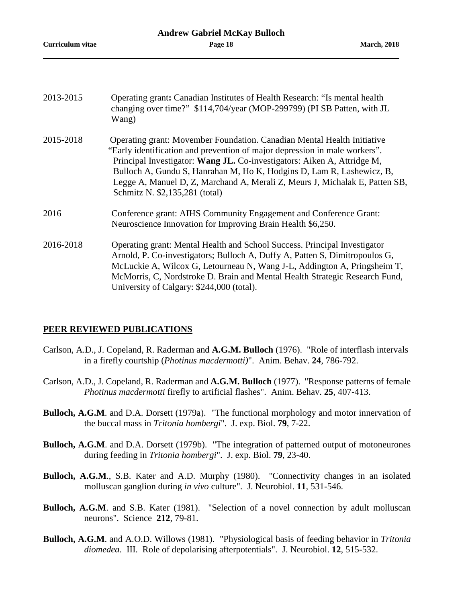| 2013-2015 | Operating grant: Canadian Institutes of Health Research: "Is mental health<br>changing over time?" \$114,704/year (MOP-299799) (PI SB Patten, with JL<br>Wang)                                                                                                                                                                                                                                                             |
|-----------|----------------------------------------------------------------------------------------------------------------------------------------------------------------------------------------------------------------------------------------------------------------------------------------------------------------------------------------------------------------------------------------------------------------------------|
| 2015-2018 | Operating grant: Movember Foundation. Canadian Mental Health Initiative<br>"Early identification and prevention of major depression in male workers".<br>Principal Investigator: Wang JL. Co-investigators: Aiken A, Attridge M,<br>Bulloch A, Gundu S, Hanrahan M, Ho K, Hodgins D, Lam R, Lashewicz, B,<br>Legge A, Manuel D, Z, Marchand A, Merali Z, Meurs J, Michalak E, Patten SB,<br>Schmitz N. \$2,135,281 (total) |
| 2016      | Conference grant: AIHS Community Engagement and Conference Grant:<br>Neuroscience Innovation for Improving Brain Health \$6,250.                                                                                                                                                                                                                                                                                           |
| 2016-2018 | Operating grant: Mental Health and School Success. Principal Investigator<br>Arnold, P. Co-investigators; Bulloch A, Duffy A, Patten S, Dimitropoulos G,<br>McLuckie A, Wilcox G, Letourneau N, Wang J-L, Addington A, Pringsheim T,<br>McMorris, C, Nordstroke D. Brain and Mental Health Strategic Research Fund,<br>University of Calgary: \$244,000 (total).                                                           |
|           |                                                                                                                                                                                                                                                                                                                                                                                                                            |

## **PEER REVIEWED PUBLICATIONS**

- Carlson, A.D., J. Copeland, R. Raderman and **A.G.M. Bulloch** (1976). "Role of interflash intervals in a firefly courtship (*Photinus macdermotti)*". Anim. Behav. **24**, 786-792.
- Carlson, A.D., J. Copeland, R. Raderman and **A.G.M. Bulloch** (1977). "Response patterns of female *Photinus macdermotti* firefly to artificial flashes". Anim. Behav. **25**, 407-413.
- **Bulloch, A.G.M**. and D.A. Dorsett (1979a). "The functional morphology and motor innervation of the buccal mass in *Tritonia hombergi*". J. exp. Biol. **79**, 7-22.
- **Bulloch, A.G.M**. and D.A. Dorsett (1979b). "The integration of patterned output of motoneurones during feeding in *Tritonia hombergi*". J. exp. Biol. **79**, 23-40.
- **Bulloch, A.G.M**., S.B. Kater and A.D. Murphy (1980). "Connectivity changes in an isolated molluscan ganglion during *in vivo* culture". J. Neurobiol. **11**, 531-546.
- **Bulloch, A.G.M.** and S.B. Kater (1981). "Selection of a novel connection by adult molluscan neurons". Science **212**, 79-81.
- **Bulloch, A.G.M**. and A.O.D. Willows (1981). "Physiological basis of feeding behavior in *Tritonia diomedea*. III. Role of depolarising afterpotentials". J. Neurobiol. **12**, 515-532.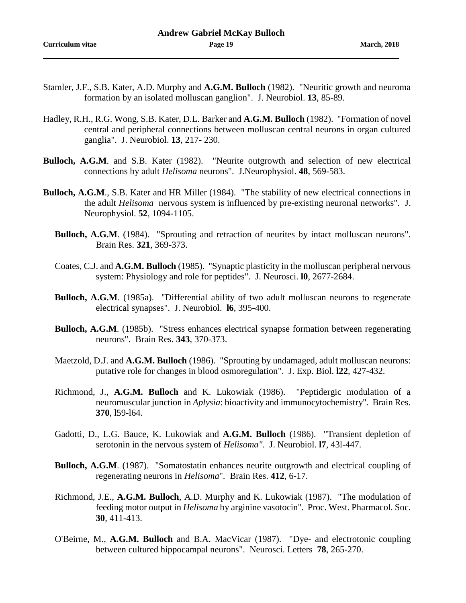- Stamler, J.F., S.B. Kater, A.D. Murphy and **A.G.M. Bulloch** (1982). "Neuritic growth and neuroma formation by an isolated molluscan ganglion". J. Neurobiol. **13**, 85-89.
- Hadley, R.H., R.G. Wong, S.B. Kater, D.L. Barker and **A.G.M. Bulloch** (1982). "Formation of novel central and peripheral connections between molluscan central neurons in organ cultured ganglia". J. Neurobiol. **13**, 217- 230.
- **Bulloch, A.G.M**. and S.B. Kater (1982). "Neurite outgrowth and selection of new electrical connections by adult *Helisoma* neurons". J.Neurophysiol. **48**, 569-583.
- **Bulloch, A.G.M**., S.B. Kater and HR Miller (1984). "The stability of new electrical connections in the adult *Helisoma* nervous system is influenced by pre-existing neuronal networks". J. Neurophysiol. **52**, 1094-1105.
	- Bulloch, A.G.M. (1984). "Sprouting and retraction of neurites by intact molluscan neurons". Brain Res. **321**, 369-373.
	- Coates, C.J. and **A.G.M. Bulloch** (1985). "Synaptic plasticity in the molluscan peripheral nervous system: Physiology and role for peptides". J. Neurosci. **l0**, 2677-2684.
	- **Bulloch, A.G.M**. (1985a). "Differential ability of two adult molluscan neurons to regenerate electrical synapses". J. Neurobiol. **l6**, 395-400.
	- **Bulloch, A.G.M.** (1985b). "Stress enhances electrical synapse formation between regenerating neurons". Brain Res. **343**, 370-373.
	- Maetzold, D.J. and **A.G.M. Bulloch** (1986). "Sprouting by undamaged, adult molluscan neurons: putative role for changes in blood osmoregulation". J. Exp. Biol. **l22**, 427-432.
	- Richmond, J., **A.G.M. Bulloch** and K. Lukowiak (1986). "Peptidergic modulation of a neuromuscular junction in *Aplysia*: bioactivity and immunocytochemistry". Brain Res. **370**, l59-l64.
	- Gadotti, D., L.G. Bauce, K. Lukowiak and **A.G.M. Bulloch** (1986). "Transient depletion of serotonin in the nervous system of *Helisoma"*. J. Neurobiol. **l7**, 43l-447.
	- **Bulloch, A.G.M.** (1987). "Somatostatin enhances neurite outgrowth and electrical coupling of regenerating neurons in *Helisoma*". Brain Res. **412**, 6-17.
	- Richmond, J.E., **A.G.M. Bulloch**, A.D. Murphy and K. Lukowiak (1987). "The modulation of feeding motor output in *Helisoma* by arginine vasotocin". Proc. West. Pharmacol. Soc. **30**, 411-413.
	- O'Beirne, M., **A.G.M. Bulloch** and B.A. MacVicar (1987). "Dye- and electrotonic coupling between cultured hippocampal neurons". Neurosci. Letters **78**, 265-270.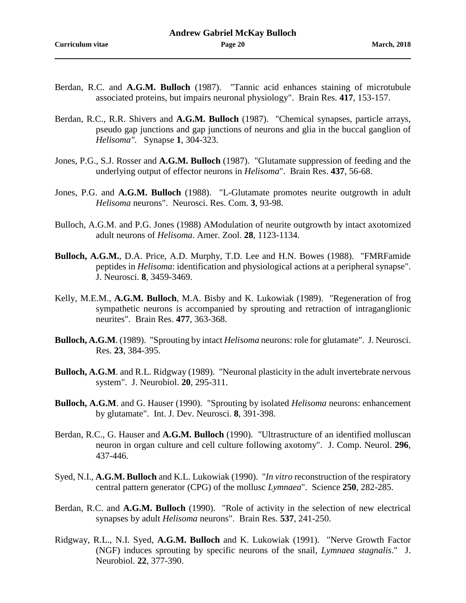- Berdan, R.C. and **A.G.M. Bulloch** (1987). "Tannic acid enhances staining of microtubule associated proteins, but impairs neuronal physiology". Brain Res. **417**, 153-157.
- Berdan, R.C., R.R. Shivers and **A.G.M. Bulloch** (1987). "Chemical synapses, particle arrays, pseudo gap junctions and gap junctions of neurons and glia in the buccal ganglion of *Helisoma".* Synapse **1**, 304-323.
- Jones, P.G., S.J. Rosser and **A.G.M. Bulloch** (1987). "Glutamate suppression of feeding and the underlying output of effector neurons in *Helisoma*". Brain Res. **437**, 56-68.
- Jones, P.G. and **A.G.M. Bulloch** (1988). "L-Glutamate promotes neurite outgrowth in adult *Helisoma* neurons". Neurosci. Res. Com. **3**, 93-98.
- Bulloch, A.G.M. and P.G. Jones (1988) ΑModulation of neurite outgrowth by intact axotomized adult neurons of *Helisoma*. Amer. Zool. **28**, 1123-1134.
- **Bulloch, A.G.M.**, D.A. Price, A.D. Murphy, T.D. Lee and H.N. Bowes (1988). "FMRFamide peptides in *Helisoma*: identification and physiological actions at a peripheral synapse". J. Neurosci. **8**, 3459-3469.
- Kelly, M.E.M., **A.G.M. Bulloch**, M.A. Bisby and K. Lukowiak (1989). "Regeneration of frog sympathetic neurons is accompanied by sprouting and retraction of intraganglionic neurites". Brain Res. **477**, 363-368.
- **Bulloch, A.G.M**. (1989). "Sprouting by intact *Helisoma* neurons: role for glutamate". J. Neurosci. Res. **23**, 384-395.
- **Bulloch, A.G.M**. and R.L. Ridgway (1989). "Neuronal plasticity in the adult invertebrate nervous system". J. Neurobiol. **20**, 295-311.
- **Bulloch, A.G.M**. and G. Hauser (1990). "Sprouting by isolated *Helisoma* neurons: enhancement by glutamate". Int. J. Dev. Neurosci. **8**, 391-398.
- Berdan, R.C., G. Hauser and **A.G.M. Bulloch** (1990). "Ultrastructure of an identified molluscan neuron in organ culture and cell culture following axotomy". J. Comp. Neurol. **296**, 437-446.
- Syed, N.I., **A.G.M. Bulloch** and K.L. Lukowiak (1990). "*In vitro* reconstruction of the respiratory central pattern generator (CPG) of the mollusc *Lymnaea*". Science **250**, 282-285.
- Berdan, R.C. and **A.G.M. Bulloch** (1990). "Role of activity in the selection of new electrical synapses by adult *Helisoma* neurons". Brain Res. **537**, 241-250.
- Ridgway, R.L., N.I. Syed, **A.G.M. Bulloch** and K. Lukowiak (1991). "Nerve Growth Factor (NGF) induces sprouting by specific neurons of the snail, *Lymnaea stagnalis*." J. Neurobiol. **22**, 377-390.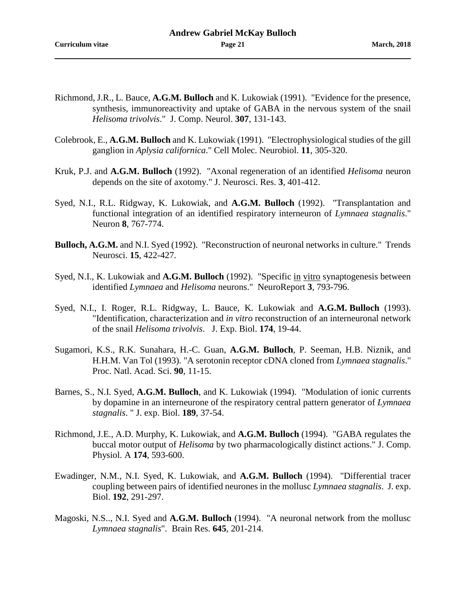- Richmond, J.R., L. Bauce, **A.G.M. Bulloch** and K. Lukowiak (1991). "Evidence for the presence, synthesis, immunoreactivity and uptake of GABA in the nervous system of the snail *Helisoma trivolvis*." J. Comp. Neurol. **307**, 131-143.
- Colebrook, E., **A.G.M. Bulloch** and K. Lukowiak (1991). "Electrophysiological studies of the gill ganglion in *Aplysia californica*." Cell Molec. Neurobiol. **11**, 305-320.
- Kruk, P.J. and **A.G.M. Bulloch** (1992). "Axonal regeneration of an identified *Helisoma* neuron depends on the site of axotomy." J. Neurosci. Res. **3**, 401-412.
- Syed, N.I., R.L. Ridgway, K. Lukowiak, and **A.G.M. Bulloch** (1992). "Transplantation and functional integration of an identified respiratory interneuron of *Lymnaea stagnalis*." Neuron **8**, 767-774.
- **Bulloch, A.G.M.** and N.I. Syed (1992). "Reconstruction of neuronal networks in culture." Trends Neurosci. **15**, 422-427.
- Syed, N.I., K. Lukowiak and **A.G.M. Bulloch** (1992). "Specific in vitro synaptogenesis between identified *Lymnaea* and *Helisoma* neurons." NeuroReport **3**, 793-796.
- Syed, N.I., I. Roger, R.L. Ridgway, L. Bauce, K. Lukowiak and **A.G.M. Bulloch** (1993). "Identification, characterization and *in vitro* reconstruction of an interneuronal network of the snail *Helisoma trivolvis*. J. Exp. Biol. **174**, 19-44.
- Sugamori, K.S., R.K. Sunahara, H.-C. Guan, **A.G.M. Bulloch**, P. Seeman, H.B. Niznik, and H.H.M. Van Tol (1993). "A serotonin receptor cDNA cloned from *Lymnaea stagnalis*." Proc. Natl. Acad. Sci. **90**, 11-15.
- Barnes, S., N.I. Syed, **A.G.M. Bulloch**, and K. Lukowiak (1994). "Modulation of ionic currents by dopamine in an interneurone of the respiratory central pattern generator of *Lymnaea stagnalis*. " J. exp. Biol. **189**, 37-54.
- Richmond, J.E., A.D. Murphy, K. Lukowiak, and **A.G.M. Bulloch** (1994). "GABA regulates the buccal motor output of *Helisoma* by two pharmacologically distinct actions." J. Comp. Physiol. A **174**, 593-600.
- Ewadinger, N.M., N.I. Syed, K. Lukowiak, and **A.G.M. Bulloch** (1994). "Differential tracer coupling between pairs of identified neurones in the mollusc *Lymnaea stagnalis*. J. exp. Biol. **192**, 291-297.
- Magoski, N.S.., N.I. Syed and **A.G.M. Bulloch** (1994). "A neuronal network from the mollusc *Lymnaea stagnalis*". Brain Res. **645**, 201-214.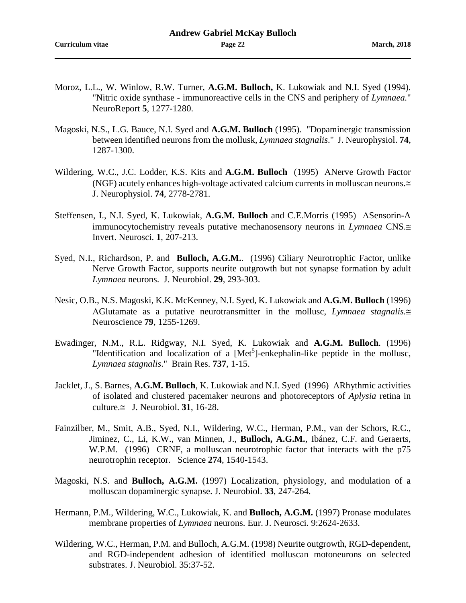- Moroz, L.L., W. Winlow, R.W. Turner, **A.G.M. Bulloch,** K. Lukowiak and N.I. Syed (1994). "Nitric oxide synthase - immunoreactive cells in the CNS and periphery of *Lymnaea.*" NeuroReport **5**, 1277-1280.
- Magoski, N.S., L.G. Bauce, N.I. Syed and **A.G.M. Bulloch** (1995). "Dopaminergic transmission between identified neurons from the mollusk, *Lymnaea stagnalis*." J. Neurophysiol. **74**, 1287-1300.
- Wildering, W.C., J.C. Lodder, K.S. Kits and **A.G.M. Bulloch** (1995) ΑNerve Growth Factor (NGF) acutely enhances high-voltage activated calcium currents in molluscan neurons.≅ J. Neurophysiol. **74**, 2778-2781.
- Steffensen, I., N.I. Syed, K. Lukowiak, **A.G.M. Bulloch** and C.E.Morris (1995) ΑSensorin-A immunocytochemistry reveals putative mechanosensory neurons in *Lymnaea* CNS.≅ Invert. Neurosci. **1**, 207-213.
- Syed, N.I., Richardson, P. and **Bulloch, A.G.M.**. (1996) Ciliary Neurotrophic Factor, unlike Nerve Growth Factor, supports neurite outgrowth but not synapse formation by adult *Lymnaea* neurons. J. Neurobiol. **29**, 293-303.
- Nesic, O.B., N.S. Magoski, K.K. McKenney, N.I. Syed, K. Lukowiak and **A.G.M. Bulloch** (1996) ΑGlutamate as a putative neurotransmitter in the mollusc, *Lymnaea stagnalis.*≅ Neuroscience **79**, 1255-1269.
- Ewadinger, N.M., R.L. Ridgway, N.I. Syed, K. Lukowiak and **A.G.M. Bulloch**. (1996) "Identification and localization of a [Met<sup>5</sup>]-enkephalin-like peptide in the mollusc, *Lymnaea stagnalis*." Brain Res. **737**, 1-15.
- Jacklet, J., S. Barnes, **A.G.M. Bulloch**, K. Lukowiak and N.I. Syed (1996) ΑRhythmic activities of isolated and clustered pacemaker neurons and photoreceptors of *Aplysia* retina in culture.≅ J. Neurobiol. **31**, 16-28.
- Fainzilber, M., Smit, A.B., Syed, N.I., Wildering, W.C., Herman, P.M., van der Schors, R.C., Jiminez, C., Li, K.W., van Minnen, J., **Bulloch, A.G.M.**, Ibánez, C.F. and Geraerts, W.P.M. (1996) CRNF, a molluscan neurotrophic factor that interacts with the p75 neurotrophin receptor. Science **274**, 1540-1543.
- Magoski, N.S. and **Bulloch, A.G.M.** (1997) Localization, physiology, and modulation of a molluscan dopaminergic synapse. J. Neurobiol. **33**, 247-264.
- Hermann, P.M., Wildering, W.C., Lukowiak, K. and **Bulloch, A.G.M.** (1997) Pronase modulates membrane properties of *Lymnaea* neurons. Eur. J. Neurosci. 9:2624-2633.
- Wildering, W.C., Herman, P.M. and Bulloch, A.G.M. (1998) Neurite outgrowth, RGD-dependent, and RGD-independent adhesion of identified molluscan motoneurons on selected substrates. J. Neurobiol. 35:37-52.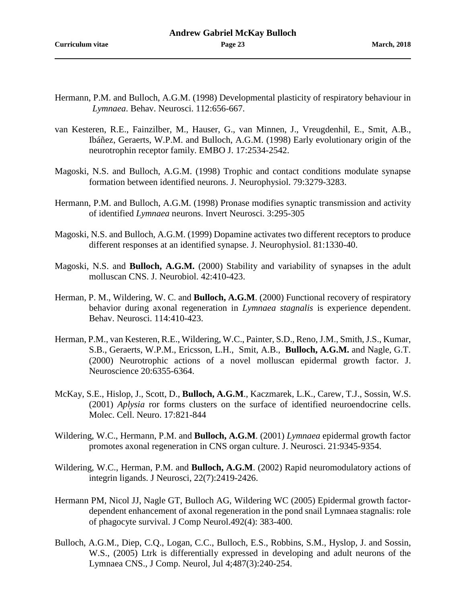- Hermann, P.M. and Bulloch, A.G.M. (1998) Developmental plasticity of respiratory behaviour in *Lymnaea*. Behav. Neurosci. 112:656-667.
- van Kesteren, R.E., Fainzilber, M., Hauser, G., van Minnen, J., Vreugdenhil, E., Smit, A.B., Ibáñez, Geraerts, W.P.M. and Bulloch, A.G.M. (1998) Early evolutionary origin of the neurotrophin receptor family. EMBO J. 17:2534-2542.
- Magoski, N.S. and Bulloch, A.G.M. (1998) Trophic and contact conditions modulate synapse formation between identified neurons. J. Neurophysiol. 79:3279-3283.
- Hermann, P.M. and Bulloch, A.G.M. (1998) Pronase modifies synaptic transmission and activity of identified *Lymnaea* neurons. Invert Neurosci. 3:295-305
- Magoski, N.S. and Bulloch, A.G.M. (1999) Dopamine activates two different receptors to produce different responses at an identified synapse. J. Neurophysiol. 81:1330-40.
- Magoski, N.S. and **Bulloch, A.G.M.** (2000) Stability and variability of synapses in the adult molluscan CNS. J. Neurobiol. 42:410-423.
- Herman, P. M., Wildering, W. C. and **Bulloch, A.G.M**. (2000) Functional recovery of respiratory behavior during axonal regeneration in *Lymnaea stagnalis* is experience dependent. Behav. Neurosci. 114:410-423.
- Herman, P.M., van Kesteren, R.E., Wildering, W.C., Painter, S.D., Reno, J.M., Smith, J.S., Kumar, S.B., Geraerts, W.P.M., Ericsson, L.H., Smit, A.B., **Bulloch, A.G.M.** and Nagle, G.T. (2000) Neurotrophic actions of a novel molluscan epidermal growth factor. J. Neuroscience 20:6355-6364.
- McKay, S.E., Hislop, J., Scott, D., **Bulloch, A.G.M**., Kaczmarek, L.K., Carew, T.J., Sossin, W.S. (2001) *Aplysia* ror forms clusters on the surface of identified neuroendocrine cells. Molec. Cell. Neuro. 17:821-844
- Wildering, W.C., Hermann, P.M. and **Bulloch, A.G.M**. (2001) *Lymnaea* epidermal growth factor promotes axonal regeneration in CNS organ culture. J. Neurosci. 21:9345-9354.
- Wildering, W.C., Herman, P.M. and **Bulloch, A.G.M**. (2002) Rapid neuromodulatory actions of integrin ligands. J Neurosci, 22(7):2419-2426.
- Hermann PM, Nicol JJ, Nagle GT, Bulloch AG, Wildering WC (2005) Epidermal growth factordependent enhancement of axonal regeneration in the pond snail Lymnaea stagnalis: role of phagocyte survival. J Comp Neurol.492(4): 383-400.
- Bulloch, A.G.M., Diep, C.Q., Logan, C.C., Bulloch, E.S., Robbins, S.M., Hyslop, J. and Sossin, W.S., (2005) Ltrk is differentially expressed in developing and adult neurons of the Lymnaea CNS., J Comp. Neurol, Jul 4;487(3):240-254.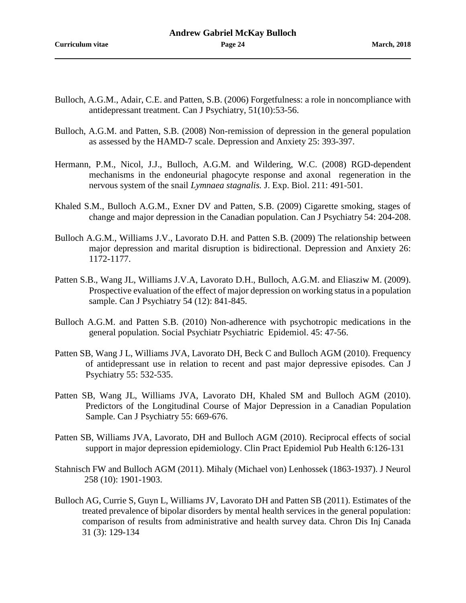- Bulloch, A.G.M., Adair, C.E. and Patten, S.B. (2006) Forgetfulness: a role in noncompliance with antidepressant treatment. Can J Psychiatry, 51(10):53-56.
- Bulloch, A.G.M. and Patten, S.B. (2008) Non-remission of depression in the general population as assessed by the HAMD-7 scale. Depression and Anxiety 25: 393-397.
- Hermann, P.M., Nicol, J.J., Bulloch, A.G.M. and Wildering, W.C. (2008) RGD-dependent mechanisms in the endoneurial phagocyte response and axonal regeneration in the nervous system of the snail *Lymnaea stagnalis.* J. Exp. Biol. 211: 491-501.
- Khaled S.M., Bulloch A.G.M., Exner DV and Patten, S.B. (2009) Cigarette smoking, stages of change and major depression in the Canadian population. Can J Psychiatry 54: 204-208.
- Bulloch A.G.M., Williams J.V., Lavorato D.H. and Patten S.B. (2009) The relationship between major depression and marital disruption is bidirectional. Depression and Anxiety 26: 1172-1177.
- Patten S.B., Wang JL, Williams J.V.A, Lavorato D.H., Bulloch, A.G.M. and Eliasziw M. (2009). Prospective evaluation of the effect of major depression on working status in a population sample. Can J Psychiatry 54 (12): 841-845.
- Bulloch A.G.M. and Patten S.B. (2010) Non-adherence with psychotropic medications in the general population. Social Psychiatr Psychiatric Epidemiol. 45: 47-56.
- Patten SB, Wang J L, Williams JVA, Lavorato DH, Beck C and Bulloch AGM (2010). Frequency of antidepressant use in relation to recent and past major depressive episodes. Can J Psychiatry 55: 532-535.
- Patten SB, Wang JL, Williams JVA, Lavorato DH, Khaled SM and Bulloch AGM (2010). Predictors of the Longitudinal Course of Major Depression in a Canadian Population Sample. Can J Psychiatry 55: 669-676.
- Patten SB, Williams JVA, Lavorato, DH and Bulloch AGM (2010). Reciprocal effects of social support in major depression epidemiology. Clin Pract Epidemiol Pub Health 6:126-131
- Stahnisch FW and Bulloch AGM (2011). Mihaly (Michael von) Lenhossek (1863-1937). J Neurol 258 (10): 1901-1903.
- Bulloch AG, Currie S, Guyn L, Williams JV, Lavorato DH and Patten SB (2011). Estimates of the treated prevalence of bipolar disorders by mental health services in the general population: comparison of results from administrative and health survey data. Chron Dis Inj Canada 31 (3): 129-134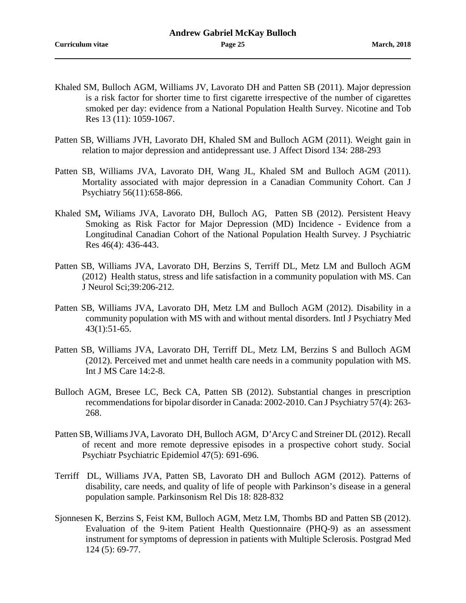- Khaled SM, Bulloch AGM, Williams JV, Lavorato DH and Patten SB (2011). Major depression is a risk factor for shorter time to first cigarette irrespective of the number of cigarettes smoked per day: evidence from a National Population Health Survey. Nicotine and Tob Res 13 (11): 1059-1067.
- Patten SB, Williams JVH, Lavorato DH, Khaled SM and Bulloch AGM (2011). Weight gain in relation to major depression and antidepressant use. J Affect Disord 134: 288-293
- Patten SB, Williams JVA, Lavorato DH, Wang JL, Khaled SM and Bulloch AGM (2011). Mortality associated with major depression in a Canadian Community Cohort. Can J Psychiatry 56(11):658-866.
- Khaled SM**,** Wiliams JVA, Lavorato DH, Bulloch AG, Patten SB (2012). Persistent Heavy Smoking as Risk Factor for Major Depression (MD) Incidence - Evidence from a Longitudinal Canadian Cohort of the National Population Health Survey. J Psychiatric Res 46(4): 436-443.
- Patten SB, Williams JVA, Lavorato DH, Berzins S, Terriff DL, Metz LM and Bulloch AGM (2012) Health status, stress and life satisfaction in a community population with MS. Can J Neurol Sci;39:206-212.
- Patten SB, Williams JVA, Lavorato DH, Metz LM and Bulloch AGM (2012). Disability in a community population with MS with and without mental disorders. Intl J Psychiatry Med 43(1):51-65.
- Patten SB, Williams JVA, Lavorato DH, Terriff DL, Metz LM, Berzins S and Bulloch AGM (2012). Perceived met and unmet health care needs in a community population with MS. Int J MS Care 14:2-8.
- Bulloch AGM, Bresee LC, Beck CA, Patten SB (2012). Substantial changes in prescription recommendations for bipolar disorder in Canada: 2002-2010. Can J Psychiatry 57(4): 263- 268.
- Patten SB, Williams JVA, Lavorato DH, Bulloch AGM, D'Arcy C and Streiner DL (2012). Recall of recent and more remote depressive episodes in a prospective cohort study. Social Psychiatr Psychiatric Epidemiol 47(5): 691-696.
- Terriff DL, Williams JVA, Patten SB, Lavorato DH and Bulloch AGM (2012). Patterns of disability, care needs, and quality of life of people with Parkinson's disease in a general population sample. Parkinsonism Rel Dis 18: 828-832
- Sjonnesen K, Berzins S, Feist KM, Bulloch AGM, Metz LM, Thombs BD and Patten SB (2012). Evaluation of the 9-item Patient Health Questionnaire (PHQ-9) as an assessment instrument for symptoms of depression in patients with Multiple Sclerosis. Postgrad Med 124 (5): 69-77.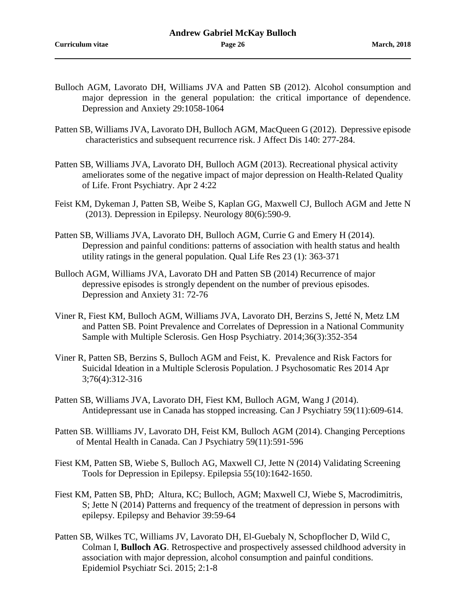- Bulloch AGM, Lavorato DH, Williams JVA and Patten SB (2012). Alcohol consumption and major depression in the general population: the critical importance of dependence. Depression and Anxiety 29:1058-1064
- Patten SB, Williams JVA, Lavorato DH, Bulloch AGM, MacQueen G (2012). Depressive episode characteristics and subsequent recurrence risk. J Affect Dis 140: 277-284.
- Patten SB, Williams JVA, Lavorato DH, Bulloch AGM (2013). Recreational physical activity ameliorates some of the negative impact of major depression on Health-Related Quality of Life. Front Psychiatry. Apr 2 4:22
- Feist KM, Dykeman J, Patten SB, Weibe S, Kaplan GG, Maxwell CJ, Bulloch AGM and Jette N (2013). Depression in Epilepsy. Neurology 80(6):590-9.
- Patten SB, Williams JVA, Lavorato DH, Bulloch AGM, Currie G and Emery H (2014). Depression and painful conditions: patterns of association with health status and health utility ratings in the general population. Qual Life Res 23 (1): 363-371
- Bulloch AGM, Williams JVA, Lavorato DH and Patten SB (2014) Recurrence of major depressive episodes is strongly dependent on the number of previous episodes. Depression and Anxiety 31: 72-76
- Viner R, Fiest KM, Bulloch AGM, Williams JVA, Lavorato DH, Berzins S, Jetté N, Metz LM and Patten SB. Point Prevalence and Correlates of Depression in a National Community Sample with Multiple Sclerosis. Gen Hosp Psychiatry. 2014;36(3):352-354
- Viner R, Patten SB, Berzins S, Bulloch AGM and Feist, K. Prevalence and Risk Factors for Suicidal Ideation in a Multiple Sclerosis Population. J Psychosomatic Res 2014 Apr 3;76(4):312-316
- Patten SB, Williams JVA, Lavorato DH, Fiest KM, Bulloch AGM, Wang J (2014). Antidepressant use in Canada has stopped increasing. Can J Psychiatry 59(11):609-614.
- Patten SB. Willliams JV, Lavorato DH, Feist KM, Bulloch AGM (2014). Changing Perceptions of Mental Health in Canada. Can J Psychiatry 59(11):591-596
- Fiest KM, Patten SB, Wiebe S, Bulloch AG, Maxwell CJ, Jette N (2014) Validating Screening Tools for Depression in Epilepsy. Epilepsia 55(10):1642-1650.
- Fiest KM, Patten SB, PhD; Altura, KC; Bulloch, AGM; Maxwell CJ, Wiebe S, Macrodimitris, S; Jette N (2014) Patterns and frequency of the treatment of depression in persons with epilepsy. Epilepsy and Behavior 39:59-64
- Patten SB, Wilkes TC, Williams JV, Lavorato DH, El-Guebaly N, Schopflocher D, Wild C, Colman I, **Bulloch AG**. [Retrospective and prospectively assessed childhood adversity in](http://www.ncbi.nlm.nih.gov/pubmed/24480045)  [association with major depression, alcohol consumption and painful conditions.](http://www.ncbi.nlm.nih.gov/pubmed/24480045) Epidemiol Psychiatr Sci. 2015; 2:1-8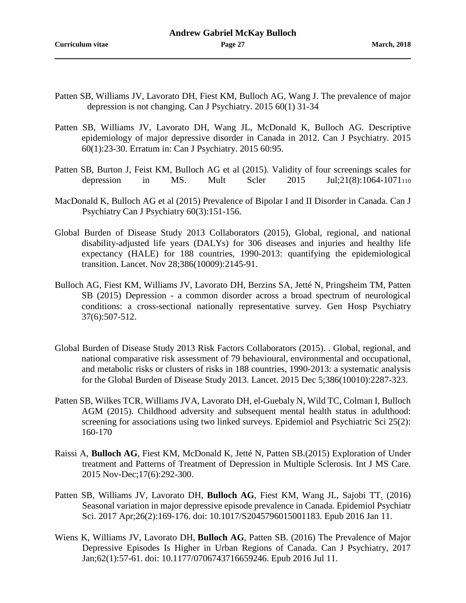- Patten SB, Williams JV, Lavorato DH, Fiest KM, Bulloch AG, Wang J. [The prevalence of major](http://www.ncbi.nlm.nih.gov/pubmed/25886547)  [depression is not changing.](http://www.ncbi.nlm.nih.gov/pubmed/25886547) Can J Psychiatry. 2015 60(1) 31-34
- Patten SB, Williams JV, Lavorato DH, Wang JL, McDonald K, Bulloch AG. [Descriptive](http://www.ncbi.nlm.nih.gov/pubmed/25886546)  [epidemiology of major depressive disorder in Canada in 2012.](http://www.ncbi.nlm.nih.gov/pubmed/25886546) Can J Psychiatry. 2015 60(1):23-30. Erratum in: [Can J Psychiatry. 2015 60:95.](http://www.ncbi.nlm.nih.gov/pubmed/25886683)
- Patten SB, Burton J, Feist KM, Bulloch AG et al (2015). Validity of four screenings scales for depression in MS. Mult Scler 2015 Jul;21(8):1064-1071110
- MacDonald K, Bulloch AG et al (2015) Prevalence of Bipolar I and II Disorder in Canada. Can J Psychiatry Can J Psychiatry 60(3):151-156.
- Global Burden of Disease Study 2013 Collaborators (2015), Global, regional, and national disability-adjusted life years (DALYs) for 306 diseases and injuries and healthy life expectancy (HALE) for 188 countries, 1990-2013: quantifying the epidemiological transition. Lancet. Nov 28;386(10009):2145-91.
- Bulloch AG, Fiest KM, Williams JV, Lavorato DH, Berzins SA, Jetté N, Pringsheim TM, Patten SB (2015) Depression - [a common disorder across a broad spectrum of neurological](http://www.ncbi.nlm.nih.gov/pubmed/26153456)  [conditions: a cross-sectional nationally representative survey.](http://www.ncbi.nlm.nih.gov/pubmed/26153456) Gen Hosp Psychiatry 37(6):507-512.
- Global Burden of Disease Study 2013 Risk Factors Collaborators (2015). . Global, regional, and national comparative risk assessment of 79 behavioural, environmental and occupational, and metabolic risks or clusters of risks in 188 countries, 1990-2013: a systematic analysis for the Global Burden of Disease Study 2013. Lancet. 2015 Dec 5;386(10010):2287-323.
- Patten SB, Wilkes TCR, Williams JVA, Lavorato DH, el-Guebaly N, Wild TC, Colman I, Bulloch AGM (2015). Childhood adversity and subsequent mental health status in adulthood: screening for associations using two linked surveys. Epidemiol and Psychiatric Sci 25(2): 160-170
- Raissi A, **Bulloch AG**, Fiest KM, McDonald K, Jetté N, Patten SB.(2015) [Exploration of Under](http://www.ncbi.nlm.nih.gov/pubmed/26664335) [treatment and Patterns of Treatment of Depression in Multiple Sclerosis.](http://www.ncbi.nlm.nih.gov/pubmed/26664335) Int J MS Care. 2015 Nov-Dec;17(6):292-300.
- Patten SB, Williams JV, Lavorato DH, **Bulloch AG**, Fiest KM, Wang JL, Sajobi TT. (2016) [Seasonal variation in major depressive episode prevalence in Canada.](http://www.ncbi.nlm.nih.gov/pubmed/26751782) Epidemiol Psychiatr Sci. 2017 Apr;26(2):169-176. doi: 10.1017/S2045796015001183. Epub 2016 Jan 11.
- Wiens K, Williams JV, Lavorato DH, **Bulloch AG**, Patten SB. (2016) [The Prevalence of Major](http://www.ncbi.nlm.nih.gov/pubmed/27407074)  [Depressive Episodes Is Higher in Urban Regions of Canada.](http://www.ncbi.nlm.nih.gov/pubmed/27407074) Can J Psychiatry, 2017 Jan;62(1):57-61. doi: 10.1177/0706743716659246. Epub 2016 Jul 11.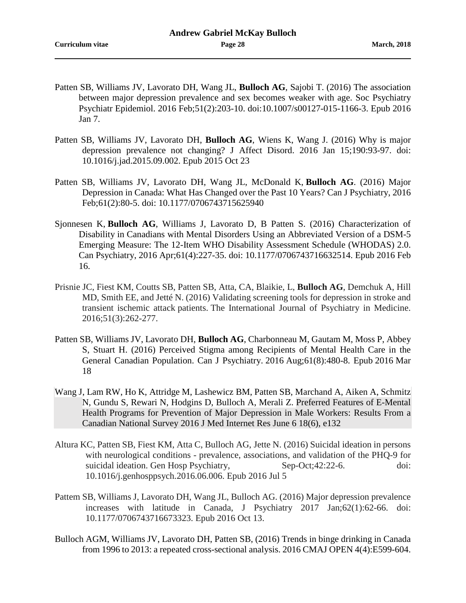- Patten SB, Williams JV, Lavorato DH, Wang JL, **Bulloch AG**, Sajobi T. (2016) [The association](http://www.ncbi.nlm.nih.gov/pubmed/26743882)  [between major depression prevalence and sex becomes weaker with age.](http://www.ncbi.nlm.nih.gov/pubmed/26743882) Soc Psychiatry Psychiatr Epidemiol. 2016 Feb;51(2):203-10. doi:10.1007/s00127-015-1166-3. Epub 2016 Jan 7.
- Patten SB, Williams JV, Lavorato DH, **Bulloch AG**, Wiens K, Wang J. (2016) [Why is major](http://www.ncbi.nlm.nih.gov/pubmed/26485311)  [depression prevalence not changing?](http://www.ncbi.nlm.nih.gov/pubmed/26485311) J Affect Disord. 2016 Jan 15;190:93-97. doi: 10.1016/j.jad.2015.09.002. Epub 2015 Oct 23
- Patten SB, Williams JV, Lavorato DH, Wang JL, McDonald K, **Bulloch AG**. (2016) [Major](http://www.ncbi.nlm.nih.gov/pubmed/27253698)  [Depression in Canada: What Has Changed over the Past 10 Years?](http://www.ncbi.nlm.nih.gov/pubmed/27253698) Can J Psychiatry, 2016 Feb;61(2):80-5. doi: 10.1177/0706743715625940
- Sjonnesen K, **Bulloch AG**, Williams J, Lavorato D, B Patten S. (2016) [Characterization of](http://www.ncbi.nlm.nih.gov/pubmed/27254415)  [Disability in Canadians with Mental Disorders Using an Abbreviated Version of a DSM-5](http://www.ncbi.nlm.nih.gov/pubmed/27254415)  [Emerging Measure: The 12-Item WHO Disability Assessment Schedule \(WHODAS\) 2.0.](http://www.ncbi.nlm.nih.gov/pubmed/27254415) Can Psychiatry, 2016 Apr;61(4):227-35. doi: 10.1177/0706743716632514. Epub 2016 Feb 16.
- Prisnie JC, Fiest KM, Coutts SB, Patten SB, Atta, CA, Blaikie, L, **Bulloch AG**, Demchuk A, Hill MD, Smith EE, and Jetté N. (2016) Validating screening tools for depression in stroke and transient ischemic attack patients. The International Journal of Psychiatry in Medicine. 2016;51(3):262-277.
- Patten SB, Williams JV, Lavorato DH, **Bulloch AG**, Charbonneau M, Gautam M, Moss P, Abbey S, Stuart H. (2016) [Perceived Stigma among Recipients of Mental Health Care in the](http://www.ncbi.nlm.nih.gov/pubmed/27310227)  [General Canadian Population.](http://www.ncbi.nlm.nih.gov/pubmed/27310227) Can J Psychiatry. 2016 Aug;61(8):480-8. Epub 2016 Mar 18
- Wang J, Lam RW, Ho K, Attridge M, Lashewicz BM, Patten SB, Marchand A, Aiken A, Schmitz N, Gundu S, Rewari N, Hodgins D, Bulloch A, Merali Z. Preferred Features of E-Mental Health Programs for Prevention of Major Depression in Male Workers: Results From a Canadian National Survey 2016 J Med Internet Res June 6 18(6), e132
- Altura KC, Patten SB, Fiest KM, Atta C, Bulloch AG, Jette N. (2016) Suicidal ideation in persons with neurological conditions - prevalence, associations, and validation of the PHQ-9 for suicidal ideation. Gen Hosp Psychiatry, Sep-Oct;42:22-6. doi: 10.1016/j.genhosppsych.2016.06.006. Epub 2016 Jul 5
- Pattem SB, Williams J, Lavorato DH, Wang JL, Bulloch AG. (2016) Major depression prevalence increases with latitude in Canada, J Psychiatry 2017 Jan;62(1):62-66. doi: 10.1177/0706743716673323. Epub 2016 Oct 13.
- Bulloch AGM, Williams JV, Lavorato DH, Patten SB, (2016) Trends in binge drinking in Canada from 1996 to 2013: a repeated cross-sectional analysis. 2016 CMAJ OPEN 4(4):E599-604.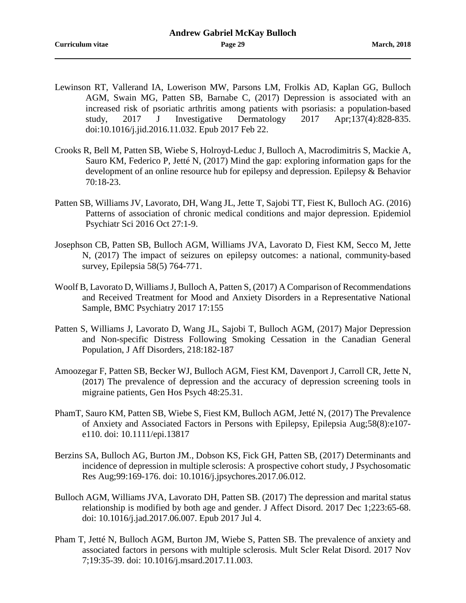- Lewinson RT, Vallerand IA, Lowerison MW, Parsons LM, Frolkis AD, Kaplan GG, Bulloch AGM, Swain MG, Patten SB, Barnabe C, (2017) Depression is associated with an increased risk of psoriatic arthritis among patients with psoriasis: a population-based study, 2017 J Investigative Dermatology 2017 Apr;137(4):828-835. doi:10.1016/j.jid.2016.11.032. Epub 2017 Feb 22.
- Crooks R, Bell M, Patten SB, Wiebe S, Holroyd-Leduc J, Bulloch A, Macrodimitris S, Mackie A, Sauro KM, Federico P, Jetté N, (2017) Mind the gap: exploring information gaps for the development of an online resource hub for epilepsy and depression. Epilepsy & Behavior 70:18-23.
- Patten SB, Williams JV, Lavorato, DH, Wang JL, Jette T, Sajobi TT, Fiest K, Bulloch AG. (2016) Patterns of association of chronic medical conditions and major depression. Epidemiol Psychiatr Sci 2016 Oct 27:1-9.
- Josephson CB, Patten SB, Bulloch AGM, Williams JVA, Lavorato D, Fiest KM, Secco M, Jette N, (2017) The impact of seizures on epilepsy outcomes: a national, community-based survey, Epilepsia 58(5) 764-771.
- Woolf B, Lavorato D, Williams J, Bulloch A, Patten S, (2017) A Comparison of Recommendations and Received Treatment for Mood and Anxiety Disorders in a Representative National Sample, BMC Psychiatry 2017 17:155
- Patten S, Williams J, Lavorato D, Wang JL, Sajobi T, Bulloch AGM, (2017) Major Depression and Non-specific Distress Following Smoking Cessation in the Canadian General Population, J Aff Disorders, 218:182-187
- Amoozegar F, Patten SB, Becker WJ, Bulloch AGM, Fiest KM, Davenport J, Carroll CR, Jette N, (2017) The prevalence of depression and the accuracy of depression screening tools in migraine patients, Gen Hos Psych 48:25.31.
- PhamT, Sauro KM, Patten SB, Wiebe S, Fiest KM, Bulloch AGM, Jetté N, (2017) The Prevalence of Anxiety and Associated Factors in Persons with Epilepsy, Epilepsia Aug;58(8):e107 e110. doi: 10.1111/epi.13817
- Berzins SA, Bulloch AG, Burton JM., Dobson KS, Fick GH, Patten SB, (2017) Determinants and incidence of depression in multiple sclerosis: A prospective cohort study, J Psychosomatic Res Aug;99:169-176. doi: 10.1016/j.jpsychores.2017.06.012.
- Bulloch AGM, Williams JVA, Lavorato DH, Patten SB. (2017) The depression and marital status relationship is modified by both age and gender. J Affect Disord. 2017 Dec 1;223:65-68. doi: 10.1016/j.jad.2017.06.007. Epub 2017 Jul 4.
- Pham T, Jetté N, Bulloch AGM, Burton JM, Wiebe S, Patten SB. The prevalence of anxiety and associated factors in persons with multiple sclerosis. Mult Scler Relat Disord. 2017 Nov 7;19:35-39. doi: 10.1016/j.msard.2017.11.003.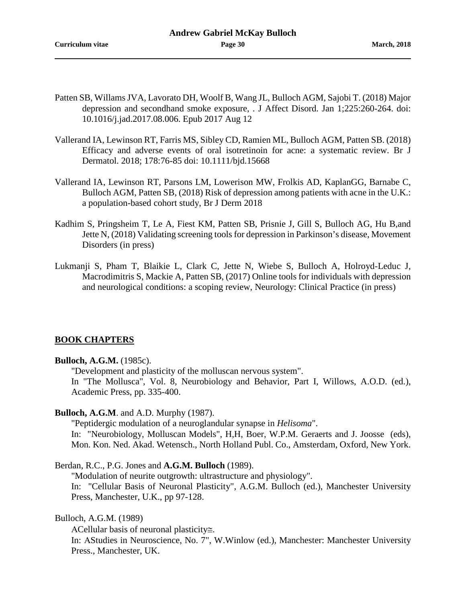- Patten SB, Willams JVA, Lavorato DH, Woolf B, Wang JL, Bulloch AGM, Sajobi T. (2018) Major depression and secondhand smoke exposure, . J Affect Disord. Jan 1;225:260-264. doi: 10.1016/j.jad.2017.08.006. Epub 2017 Aug 12
- Vallerand IA, Lewinson RT, Farris MS, Sibley CD, Ramien ML, Bulloch AGM, Patten SB. (2018) Efficacy and adverse events of oral isotretinoin for acne: a systematic review. Br J Dermatol. 2018; 178:76-85 doi: 10.1111/bjd.15668
- Vallerand IA, Lewinson RT, Parsons LM, Lowerison MW, Frolkis AD, KaplanGG, Barnabe C, Bulloch AGM, Patten SB, (2018) Risk of depression among patients with acne in the U.K.: a population-based cohort study, Br J Derm 2018
- Kadhim S, Pringsheim T, Le A, Fiest KM, Patten SB, Prisnie J, Gill S, Bulloch AG, Hu B,and Jette N, (2018) Validating screening tools for depression in Parkinson's disease, Movement Disorders (in press)
- Lukmanji S, Pham T, Blaikie L, Clark C, Jette N, Wiebe S, Bulloch A, Holroyd-Leduc J, Macrodimitris S, Mackie A, Patten SB, (2017) Online tools for individuals with depression and neurological conditions: a scoping review, Neurology: Clinical Practice (in press)

## **BOOK CHAPTERS**

## **Bulloch, A.G.M.** (1985c).

"Development and plasticity of the molluscan nervous system".

In "The Mollusca", Vol. 8, Neurobiology and Behavior, Part I, Willows, A.O.D. (ed.), Academic Press, pp. 335-400.

#### **Bulloch, A.G.M**. and A.D. Murphy (1987).

"Peptidergic modulation of a neuroglandular synapse in *Helisoma*".

In: "Neurobiology, Molluscan Models", H,H, Boer, W.P.M. Geraerts and J. Joosse (eds), Mon. Kon. Ned. Akad. Wetensch., North Holland Publ. Co., Amsterdam, Oxford, New York.

Berdan, R.C., P.G. Jones and **A.G.M. Bulloch** (1989).

"Modulation of neurite outgrowth: ultrastructure and physiology". In: "Cellular Basis of Neuronal Plasticity", A.G.M. Bulloch (ed.), Manchester University Press, Manchester, U.K., pp 97-128.

Bulloch, A.G.M. (1989)

ΑCellular basis of neuronal plasticity≅.

In: AStudies in Neuroscience, No. 7", W.Winlow (ed.), Manchester: Manchester University Press., Manchester, UK.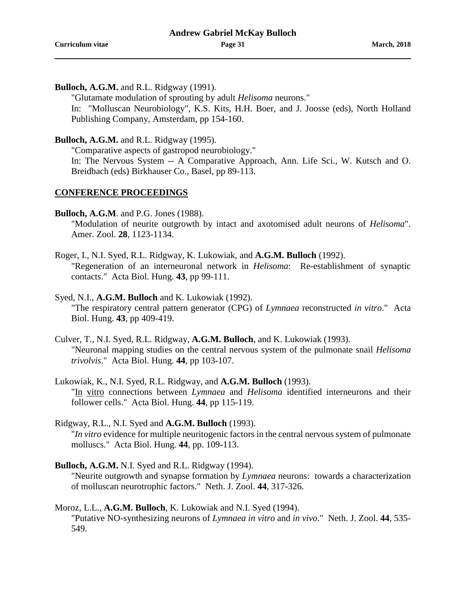**Bulloch, A.G.M.** and R.L. Ridgway (1991).

"Glutamate modulation of sprouting by adult *Helisoma* neurons."

In: "Molluscan Neurobiology", K.S. Kits, H.H. Boer, and J. Joosse (eds), North Holland Publishing Company, Amsterdam, pp 154-160.

**Bulloch, A.G.M.** and R.L. Ridgway (1995).

"Comparative aspects of gastropod neurobiology."

In: The Nervous System -- A Comparative Approach, Ann. Life Sci., W. Kutsch and O. Breidbach (eds) Birkhauser Co., Basel, pp 89-113.

## **CONFERENCE PROCEEDINGS**

**Bulloch, A.G.M**. and P.G. Jones (1988).

"Modulation of neurite outgrowth by intact and axotomised adult neurons of *Helisoma*". Amer. Zool. **28**, 1123-1134.

Roger, I., N.I. Syed, R.L. Ridgway, K. Lukowiak, and **A.G.M. Bulloch** (1992). "Regeneration of an interneuronal network in *Helisoma*: Re-establishment of synaptic contacts." Acta Biol. Hung. **43**, pp 99-111.

Syed, N.I., **A.G.M. Bulloch** and K. Lukowiak (1992). "The respiratory central pattern generator (CPG) of *Lymnaea* reconstructed *in vitro*." Acta Biol. Hung. **43**, pp 409-419.

- Culver, T., N.I. Syed, R.L. Ridgway, **A.G.M. Bulloch**, and K. Lukowiak (1993). "Neuronal mapping studies on the central nervous system of the pulmonate snail *Helisoma trivolvis*." Acta Biol. Hung. **44**, pp 103-107.
- Lukowiak, K., N.I. Syed, R.L. Ridgway, and **A.G.M. Bulloch** (1993). "In vitro connections between *Lymnaea* and *Helisoma* identified interneurons and their follower cells." Acta Biol. Hung. **44**, pp 115-119.
- Ridgway, R.L., N.I. Syed and **A.G.M. Bulloch** (1993). "*In vitro* evidence for multiple neuritogenic factors in the central nervous system of pulmonate molluscs." Acta Biol. Hung. **44**, pp. 109-113.
- **Bulloch, A.G.M.** N.I. Syed and R.L. Ridgway (1994). "Neurite outgrowth and synapse formation by *Lymnaea* neurons: towards a characterization of molluscan neurotrophic factors." Neth. J. Zool. **44**, 317-326.

Moroz, L.L., **A.G.M. Bulloch**, K. Lukowiak and N.I. Syed (1994). "Putative NO-synthesizing neurons of *Lymnaea in vitro* and *in vivo*." Neth. J. Zool. **44**, 535- 549.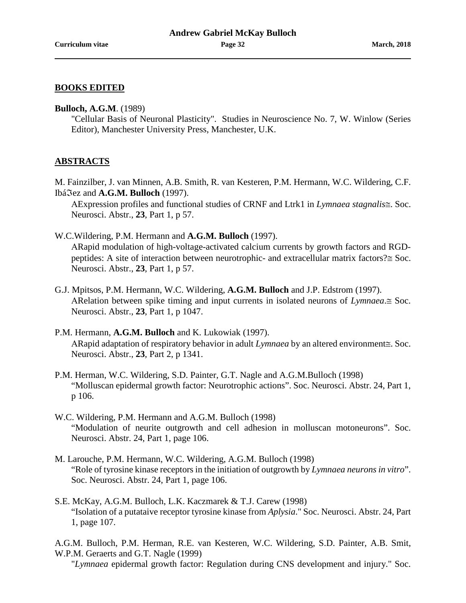### **BOOKS EDITED**

#### **Bulloch, A.G.M**. (1989)

"Cellular Basis of Neuronal Plasticity". Studies in Neuroscience No. 7, W. Winlow (Series Editor), Manchester University Press, Manchester, U.K.

## **ABSTRACTS**

M. Fainzilber, J. van Minnen, A.B. Smith, R. van Kesteren, P.M. Hermann, W.C. Wildering, C.F. Ibáℑez and **A.G.M. Bulloch** (1997).

ΑExpression profiles and functional studies of CRNF and Ltrk1 in *Lymnaea stagnalis*≅. Soc. Neurosci. Abstr., **23**, Part 1, p 57.

W.C.Wildering, P.M. Hermann and **A.G.M. Bulloch** (1997).

ΑRapid modulation of high-voltage-activated calcium currents by growth factors and RGDpeptides: A site of interaction between neurotrophic- and extracellular matrix factors?≅ Soc. Neurosci. Abstr., **23**, Part 1, p 57.

- G.J. Mpitsos, P.M. Hermann, W.C. Wildering, **A.G.M. Bulloch** and J.P. Edstrom (1997). ΑRelation between spike timing and input currents in isolated neurons of *Lymnaea*.≅ Soc. Neurosci. Abstr., **23**, Part 1, p 1047.
- P.M. Hermann, **A.G.M. Bulloch** and K. Lukowiak (1997). ΑRapid adaptation of respiratory behavior in adult *Lymnaea* by an altered environment≅. Soc. Neurosci. Abstr., **23**, Part 2, p 1341.
- P.M. Herman, W.C. Wildering, S.D. Painter, G.T. Nagle and A.G.M.Bulloch (1998) "Molluscan epidermal growth factor: Neurotrophic actions". Soc. Neurosci. Abstr. 24, Part 1, p 106.
- W.C. Wildering, P.M. Hermann and A.G.M. Bulloch (1998) "Modulation of neurite outgrowth and cell adhesion in molluscan motoneurons". Soc. Neurosci. Abstr. 24, Part 1, page 106.
- M. Larouche, P.M. Hermann, W.C. Wildering, A.G.M. Bulloch (1998) "Role of tyrosine kinase receptors in the initiation of outgrowth by *Lymnaea neurons in vitro*". Soc. Neurosci. Abstr. 24, Part 1, page 106.
- S.E. McKay, A.G.M. Bulloch, L.K. Kaczmarek & T.J. Carew (1998) "Isolation of a putataive receptor tyrosine kinase from *Aplysia*." Soc. Neurosci. Abstr. 24, Part 1, page 107.

A.G.M. Bulloch, P.M. Herman, R.E. van Kesteren, W.C. Wildering, S.D. Painter, A.B. Smit, W.P.M. Geraerts and G.T. Nagle (1999)

"*Lymnaea* epidermal growth factor: Regulation during CNS development and injury." Soc.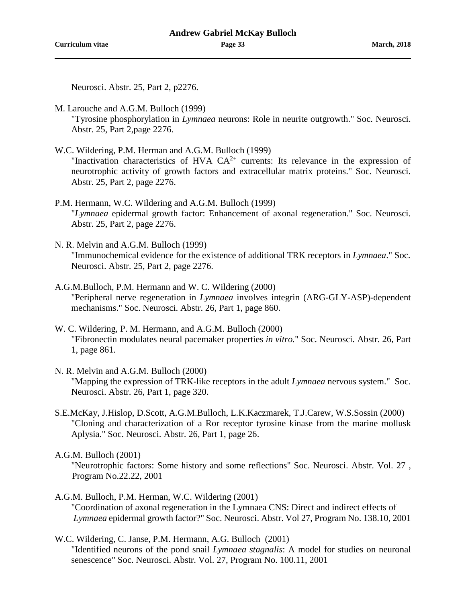Neurosci. Abstr. 25, Part 2, p2276.

- M. Larouche and A.G.M. Bulloch (1999) "Tyrosine phosphorylation in *Lymnaea* neurons: Role in neurite outgrowth." Soc. Neurosci. Abstr. 25, Part 2,page 2276.
- W.C. Wildering, P.M. Herman and A.G.M. Bulloch (1999) "Inactivation characteristics of HVA  $CA^{2+}$  currents: Its relevance in the expression of neurotrophic activity of growth factors and extracellular matrix proteins." Soc. Neurosci. Abstr. 25, Part 2, page 2276.
- P.M. Hermann, W.C. Wildering and A.G.M. Bulloch (1999) "*Lymnaea* epidermal growth factor: Enhancement of axonal regeneration." Soc. Neurosci. Abstr. 25, Part 2, page 2276.
- N. R. Melvin and A.G.M. Bulloch (1999) "Immunochemical evidence for the existence of additional TRK receptors in *Lymnaea*." Soc. Neurosci. Abstr. 25, Part 2, page 2276.
- A.G.M.Bulloch, P.M. Hermann and W. C. Wildering (2000) "Peripheral nerve regeneration in *Lymnaea* involves integrin (ARG-GLY-ASP)-dependent mechanisms." Soc. Neurosci. Abstr. 26, Part 1, page 860.
- W. C. Wildering, P. M. Hermann, and A.G.M. Bulloch (2000) "Fibronectin modulates neural pacemaker properties *in vitro.*" Soc. Neurosci. Abstr. 26, Part 1, page 861.
- N. R. Melvin and A.G.M. Bulloch (2000) "Mapping the expression of TRK-like receptors in the adult *Lymnaea* nervous system." Soc. Neurosci. Abstr. 26, Part 1, page 320.
- S.E.McKay, J.Hislop, D.Scott, A.G.M.Bulloch, L.K.Kaczmarek, T.J.Carew, W.S.Sossin (2000) "Cloning and characterization of a Ror receptor tyrosine kinase from the marine mollusk Aplysia." Soc. Neurosci. Abstr. 26, Part 1, page 26.

- A.G.M. Bulloch, P.M. Herman, W.C. Wildering (2001) "Coordination of axonal regeneration in the Lymnaea CNS: Direct and indirect effects of *Lymnaea* epidermal growth factor?" Soc. Neurosci. Abstr. Vol 27, Program No. 138.10, 2001
- W.C. Wildering, C. Janse, P.M. Hermann, A.G. Bulloch (2001) "Identified neurons of the pond snail *Lymnaea stagnalis*: A model for studies on neuronal senescence" Soc. Neurosci. Abstr. Vol. 27, Program No. 100.11, 2001

A.G.M. Bulloch (2001)

<sup>&</sup>quot;Neurotrophic factors: Some history and some reflections" Soc. Neurosci. Abstr. Vol. 27 , Program No.22.22, 2001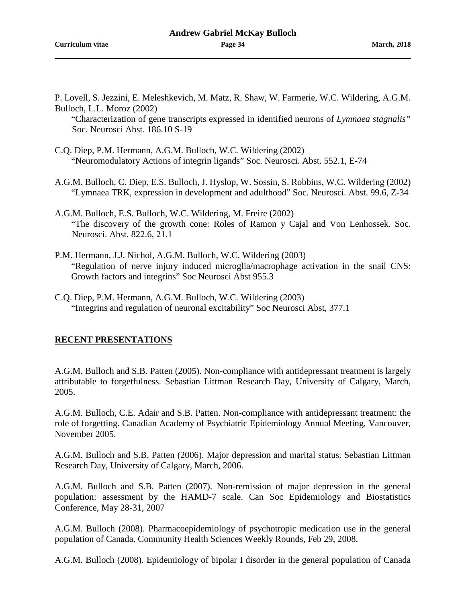P. Lovell, S. Jezzini, E. Meleshkevich, M. Matz, R. Shaw, W. Farmerie, W.C. Wildering, A.G.M. Bulloch, L.L. Moroz (2002)

"Characterization of gene transcripts expressed in identified neurons of *Lymnaea stagnalis"*  Soc. Neurosci Abst. 186.10 S-19

- C.Q. Diep, P.M. Hermann, A.G.M. Bulloch, W.C. Wildering (2002) "Neuromodulatory Actions of integrin ligands" Soc. Neurosci. Abst. 552.1, E-74
- A.G.M. Bulloch, C. Diep, E.S. Bulloch, J. Hyslop, W. Sossin, S. Robbins, W.C. Wildering (2002) "Lymnaea TRK, expression in development and adulthood" Soc. Neurosci. Abst. 99.6, Z-34
- A.G.M. Bulloch, E.S. Bulloch, W.C. Wildering, M. Freire (2002) "The discovery of the growth cone: Roles of Ramon y Cajal and Von Lenhossek. Soc. Neurosci. Abst. 822.6, 21.1
- P.M. Hermann, J.J. Nichol, A.G.M. Bulloch, W.C. Wildering (2003) "Regulation of nerve injury induced microglia/macrophage activation in the snail CNS: Growth factors and integrins" Soc Neurosci Abst 955.3
- C.Q. Diep, P.M. Hermann, A.G.M. Bulloch, W.C. Wildering (2003) "Integrins and regulation of neuronal excitability" Soc Neurosci Abst, 377.1

## **RECENT PRESENTATIONS**

A.G.M. Bulloch and S.B. Patten (2005). Non-compliance with antidepressant treatment is largely attributable to forgetfulness. Sebastian Littman Research Day, University of Calgary, March, 2005.

A.G.M. Bulloch, C.E. Adair and S.B. Patten. Non-compliance with antidepressant treatment: the role of forgetting. Canadian Academy of Psychiatric Epidemiology Annual Meeting, Vancouver, November 2005.

A.G.M. Bulloch and S.B. Patten (2006). Major depression and marital status. Sebastian Littman Research Day, University of Calgary, March, 2006.

A.G.M. Bulloch and S.B. Patten (2007). Non-remission of major depression in the general population: assessment by the HAMD-7 scale. Can Soc Epidemiology and Biostatistics Conference, May 28-31, 2007

A.G.M. Bulloch (2008). Pharmacoepidemiology of psychotropic medication use in the general population of Canada. Community Health Sciences Weekly Rounds, Feb 29, 2008.

A.G.M. Bulloch (2008). Epidemiology of bipolar I disorder in the general population of Canada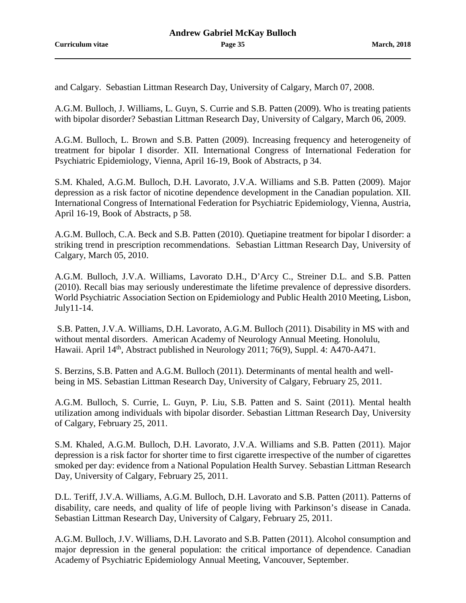and Calgary. Sebastian Littman Research Day, University of Calgary, March 07, 2008.

A.G.M. Bulloch, J. Williams, L. Guyn, S. Currie and S.B. Patten (2009). Who is treating patients with bipolar disorder? Sebastian Littman Research Day, University of Calgary, March 06, 2009.

A.G.M. Bulloch, L. Brown and S.B. Patten (2009). Increasing frequency and heterogeneity of treatment for bipolar I disorder. XII. International Congress of International Federation for Psychiatric Epidemiology, Vienna, April 16-19, Book of Abstracts, p 34.

S.M. Khaled, A.G.M. Bulloch, D.H. Lavorato, J.V.A. Williams and S.B. Patten (2009). Major depression as a risk factor of nicotine dependence development in the Canadian population. XII. International Congress of International Federation for Psychiatric Epidemiology, Vienna, Austria, April 16-19, Book of Abstracts, p 58.

A.G.M. Bulloch, C.A. Beck and S.B. Patten (2010). Quetiapine treatment for bipolar I disorder: a striking trend in prescription recommendations. Sebastian Littman Research Day, University of Calgary, March 05, 2010.

A.G.M. Bulloch, J.V.A. Williams, Lavorato D.H., D'Arcy C., Streiner D.L. and S.B. Patten (2010). Recall bias may seriously underestimate the lifetime prevalence of depressive disorders. World Psychiatric Association Section on Epidemiology and Public Health 2010 Meeting, Lisbon, July11-14.

S.B. Patten, J.V.A. Williams, D.H. Lavorato, A.G.M. Bulloch (2011). Disability in MS with and without mental disorders. American Academy of Neurology Annual Meeting. Honolulu, Hawaii. April 14<sup>th</sup>, Abstract published in Neurology 2011; 76(9), Suppl. 4: A470-A471.

S. Berzins, S.B. Patten and A.G.M. Bulloch (2011). Determinants of mental health and wellbeing in MS. Sebastian Littman Research Day, University of Calgary, February 25, 2011.

A.G.M. Bulloch, S. Currie, L. Guyn, P. Liu, S.B. Patten and S. Saint (2011). Mental health utilization among individuals with bipolar disorder. Sebastian Littman Research Day, University of Calgary, February 25, 2011.

S.M. Khaled, A.G.M. Bulloch, D.H. Lavorato, J.V.A. Williams and S.B. Patten (2011). Major depression is a risk factor for shorter time to first cigarette irrespective of the number of cigarettes smoked per day: evidence from a National Population Health Survey. Sebastian Littman Research Day, University of Calgary, February 25, 2011.

D.L. Teriff, J.V.A. Williams, A.G.M. Bulloch, D.H. Lavorato and S.B. Patten (2011). Patterns of disability, care needs, and quality of life of people living with Parkinson's disease in Canada. Sebastian Littman Research Day, University of Calgary, February 25, 2011.

A.G.M. Bulloch, J.V. Williams, D.H. Lavorato and S.B. Patten (2011). Alcohol consumption and major depression in the general population: the critical importance of dependence. Canadian Academy of Psychiatric Epidemiology Annual Meeting, Vancouver, September.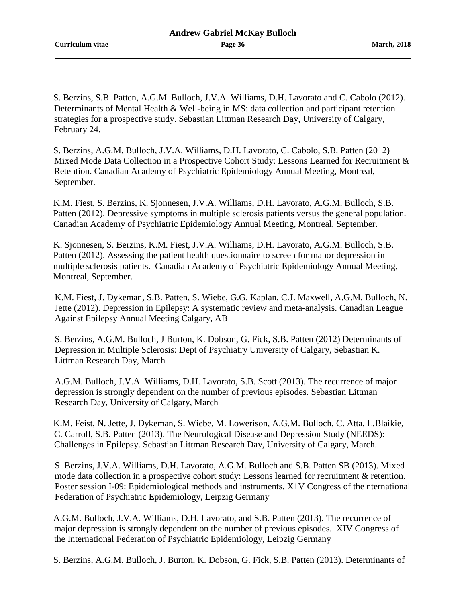S. Berzins, S.B. Patten, A.G.M. Bulloch, J.V.A. Williams, D.H. Lavorato and C. Cabolo (2012). Determinants of Mental Health & Well-being in MS: data collection and participant retention strategies for a prospective study. Sebastian Littman Research Day, University of Calgary, February 24.

S. Berzins, A.G.M. Bulloch, J.V.A. Williams, D.H. Lavorato, C. Cabolo, S.B. Patten (2012) Mixed Mode Data Collection in a Prospective Cohort Study: Lessons Learned for Recruitment & Retention. Canadian Academy of Psychiatric Epidemiology Annual Meeting, Montreal, September.

K.M. Fiest, S. Berzins, K. Sjonnesen, J.V.A. Williams, D.H. Lavorato, A.G.M. Bulloch, S.B. Patten (2012). Depressive symptoms in multiple sclerosis patients versus the general population. Canadian Academy of Psychiatric Epidemiology Annual Meeting, Montreal, September.

K. Sjonnesen, S. Berzins, K.M. Fiest, J.V.A. Williams, D.H. Lavorato, A.G.M. Bulloch, S.B. Patten (2012). Assessing the patient health questionnaire to screen for manor depression in multiple sclerosis patients. Canadian Academy of Psychiatric Epidemiology Annual Meeting, Montreal, September.

K.M. Fiest, J. Dykeman, S.B. Patten, S. Wiebe, G.G. Kaplan, C.J. Maxwell, A.G.M. Bulloch, N. Jette (2012). Depression in Epilepsy: A systematic review and meta-analysis. Canadian League Against Epilepsy Annual Meeting Calgary, AB

S. Berzins, A.G.M. Bulloch, J Burton, K. Dobson, G. Fick, S.B. Patten (2012) Determinants of Depression in Multiple Sclerosis: Dept of Psychiatry University of Calgary, Sebastian K. Littman Research Day, March

A.G.M. Bulloch, J.V.A. Williams, D.H. Lavorato, S.B. Scott (2013). The recurrence of major depression is strongly dependent on the number of previous episodes. Sebastian Littman Research Day, University of Calgary, March

K.M. Feist, N. Jette, J. Dykeman, S. Wiebe, M. Lowerison, A.G.M. Bulloch, C. Atta, L.Blaikie, C. Carroll, S.B. Patten (2013). The Neurological Disease and Depression Study (NEEDS): Challenges in Epilepsy. Sebastian Littman Research Day, University of Calgary, March.

S. Berzins, J.V.A. Williams, D.H. Lavorato, A.G.M. Bulloch and S.B. Patten SB (2013). Mixed mode data collection in a prospective cohort study: Lessons learned for recruitment & retention. Poster session I-09: Epidemiological methods and instruments. X1V Congress of the nternational Federation of Psychiatric Epidemiology, Leipzig Germany

A.G.M. Bulloch, J.V.A. Williams, D.H. Lavorato, and S.B. Patten (2013). The recurrence of major depression is strongly dependent on the number of previous episodes. XIV Congress of the International Federation of Psychiatric Epidemiology, Leipzig Germany

S. Berzins, A.G.M. Bulloch, J. Burton, K. Dobson, G. Fick, S.B. Patten (2013). Determinants of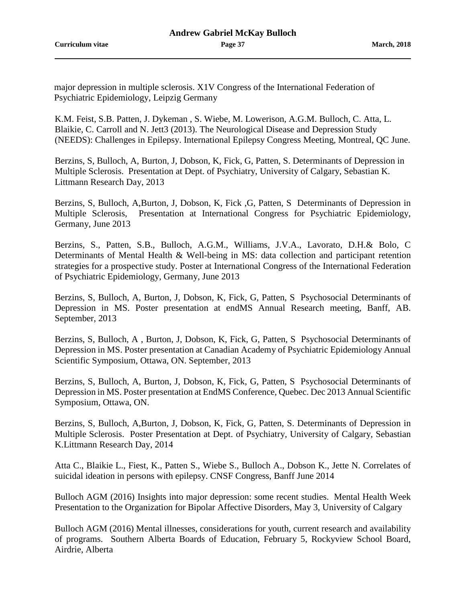major depression in multiple sclerosis. X1V Congress of the International Federation of Psychiatric Epidemiology, Leipzig Germany

K.M. Feist, S.B. Patten, J. Dykeman , S. Wiebe, M. Lowerison, A.G.M. Bulloch, C. Atta, L. Blaikie, C. Carroll and N. Jett3 (2013). The Neurological Disease and Depression Study (NEEDS): Challenges in Epilepsy. International Epilepsy Congress Meeting, Montreal, QC June.

Berzins, S, Bulloch, A, Burton, J, Dobson, K, Fick, G, Patten, S. Determinants of Depression in Multiple Sclerosis. Presentation at Dept. of Psychiatry, University of Calgary, Sebastian K. Littmann Research Day, 2013

Berzins, S, Bulloch, A,Burton, J, Dobson, K, Fick ,G, Patten, S Determinants of Depression in Multiple Sclerosis, Presentation at International Congress for Psychiatric Epidemiology, Germany, June 2013

Berzins, S., Patten, S.B., Bulloch, A.G.M., Williams, J.V.A., Lavorato, D.H.& Bolo, C Determinants of Mental Health & Well-being in MS: data collection and participant retention strategies for a prospective study. Poster at International Congress of the International Federation of Psychiatric Epidemiology, Germany, June 2013

Berzins, S, Bulloch, A, Burton, J, Dobson, K, Fick, G, Patten, S Psychosocial Determinants of Depression in MS. Poster presentation at endMS Annual Research meeting, Banff, AB. September, 2013

Berzins, S, Bulloch, A , Burton, J, Dobson, K, Fick, G, Patten, S Psychosocial Determinants of Depression in MS. Poster presentation at Canadian Academy of Psychiatric Epidemiology Annual Scientific Symposium, Ottawa, ON. September, 2013

Berzins, S, Bulloch, A, Burton, J, Dobson, K, Fick, G, Patten, S Psychosocial Determinants of Depression in MS. Poster presentation at EndMS Conference, Quebec. Dec 2013 Annual Scientific Symposium, Ottawa, ON.

Berzins, S, Bulloch, A,Burton, J, Dobson, K, Fick, G, Patten, S. Determinants of Depression in Multiple Sclerosis. Poster Presentation at Dept. of Psychiatry, University of Calgary, Sebastian K.Littmann Research Day, 2014

Atta C., Blaikie L., Fiest, K., Patten S., Wiebe S., Bulloch A., Dobson K., Jette N. Correlates of suicidal ideation in persons with epilepsy. CNSF Congress, Banff June 2014

Bulloch AGM (2016) Insights into major depression: some recent studies. Mental Health Week Presentation to the Organization for Bipolar Affective Disorders, May 3, University of Calgary

Bulloch AGM (2016) Mental illnesses, considerations for youth, current research and availability of programs. Southern Alberta Boards of Education, February 5, Rockyview School Board, Airdrie, Alberta